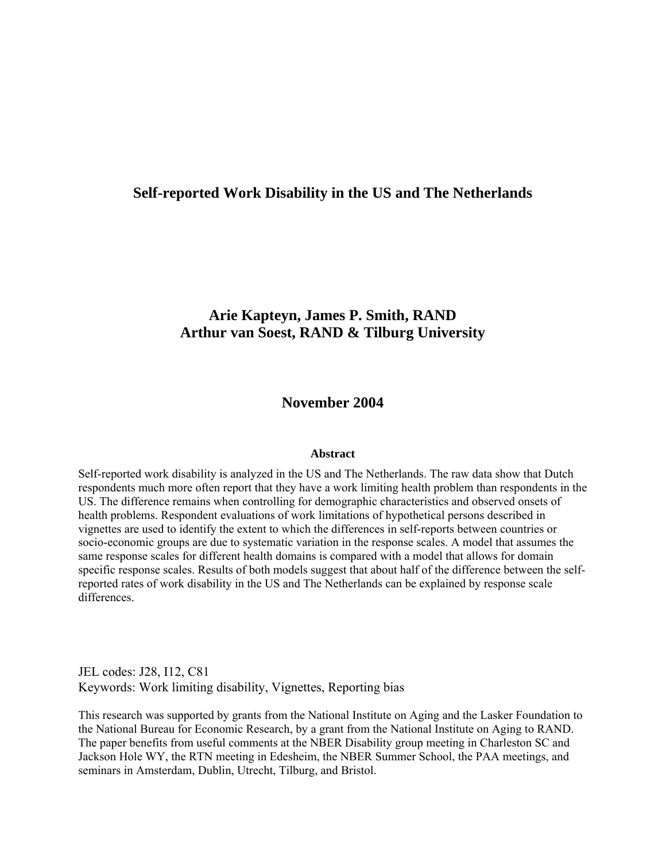# **Self-reported Work Disability in the US and The Netherlands**

# **Arie Kapteyn, James P. Smith, RAND Arthur van Soest, RAND & Tilburg University**

# **November 2004**

#### **Abstract**

Self-reported work disability is analyzed in the US and The Netherlands. The raw data show that Dutch respondents much more often report that they have a work limiting health problem than respondents in the US. The difference remains when controlling for demographic characteristics and observed onsets of health problems. Respondent evaluations of work limitations of hypothetical persons described in vignettes are used to identify the extent to which the differences in self-reports between countries or socio-economic groups are due to systematic variation in the response scales. A model that assumes the same response scales for different health domains is compared with a model that allows for domain specific response scales. Results of both models suggest that about half of the difference between the selfreported rates of work disability in the US and The Netherlands can be explained by response scale differences.

JEL codes: J28, I12, C81 Keywords: Work limiting disability, Vignettes, Reporting bias

This research was supported by grants from the National Institute on Aging and the Lasker Foundation to the National Bureau for Economic Research, by a grant from the National Institute on Aging to RAND. The paper benefits from useful comments at the NBER Disability group meeting in Charleston SC and Jackson Hole WY, the RTN meeting in Edesheim, the NBER Summer School, the PAA meetings, and seminars in Amsterdam, Dublin, Utrecht, Tilburg, and Bristol.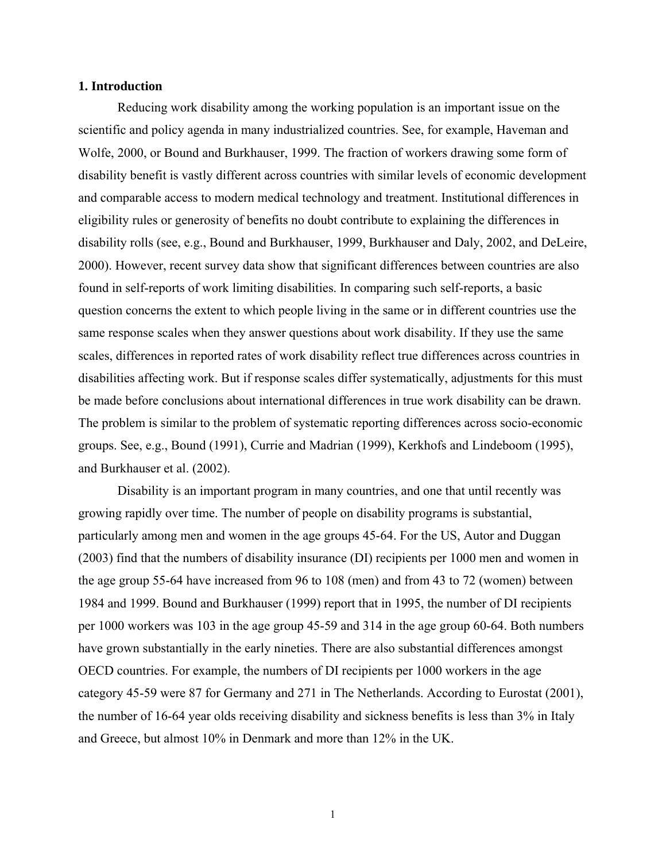## **1. Introduction**

Reducing work disability among the working population is an important issue on the scientific and policy agenda in many industrialized countries. See, for example, Haveman and Wolfe, 2000, or Bound and Burkhauser, 1999. The fraction of workers drawing some form of disability benefit is vastly different across countries with similar levels of economic development and comparable access to modern medical technology and treatment. Institutional differences in eligibility rules or generosity of benefits no doubt contribute to explaining the differences in disability rolls (see, e.g., Bound and Burkhauser, 1999, Burkhauser and Daly, 2002, and DeLeire, 2000). However, recent survey data show that significant differences between countries are also found in self-reports of work limiting disabilities. In comparing such self-reports, a basic question concerns the extent to which people living in the same or in different countries use the same response scales when they answer questions about work disability. If they use the same scales, differences in reported rates of work disability reflect true differences across countries in disabilities affecting work. But if response scales differ systematically, adjustments for this must be made before conclusions about international differences in true work disability can be drawn. The problem is similar to the problem of systematic reporting differences across socio-economic groups. See, e.g., Bound (1991), Currie and Madrian (1999), Kerkhofs and Lindeboom (1995), and Burkhauser et al. (2002).

Disability is an important program in many countries, and one that until recently was growing rapidly over time. The number of people on disability programs is substantial, particularly among men and women in the age groups 45-64. For the US, Autor and Duggan (2003) find that the numbers of disability insurance (DI) recipients per 1000 men and women in the age group 55-64 have increased from 96 to 108 (men) and from 43 to 72 (women) between 1984 and 1999. Bound and Burkhauser (1999) report that in 1995, the number of DI recipients per 1000 workers was 103 in the age group 45-59 and 314 in the age group 60-64. Both numbers have grown substantially in the early nineties. There are also substantial differences amongst OECD countries. For example, the numbers of DI recipients per 1000 workers in the age category 45-59 were 87 for Germany and 271 in The Netherlands. According to Eurostat (2001), the number of 16-64 year olds receiving disability and sickness benefits is less than 3% in Italy and Greece, but almost 10% in Denmark and more than 12% in the UK.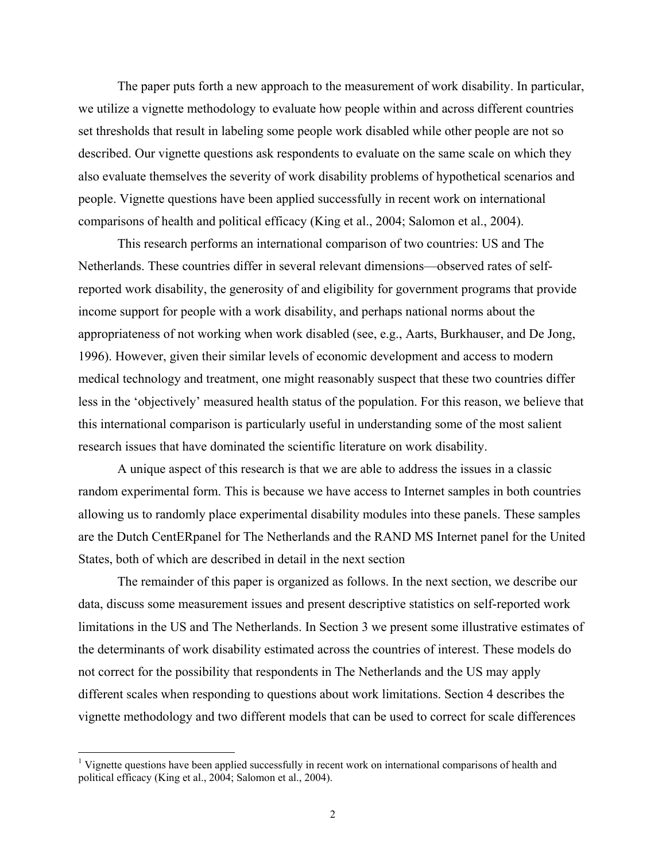The paper puts forth a new approach to the measurement of work disability. In particular, we utilize a vignette methodology to evaluate how people within and across different countries set thresholds that result in labeling some people work disabled while other people are not so described. Our vignette questions ask respondents to evaluate on the same scale on which they also evaluate themselves the severity of work disability problems of hypothetical scenarios and people. Vignette questions have been applied successfully in recent work on international comparisons of health and political efficacy (King et al., 2004; Salomon et al., 2004).

This research performs an international comparison of two countries: US and The Netherlands. These countries differ in several relevant dimensions—observed rates of selfreported work disability, the generosity of and eligibility for government programs that provide income support for people with a work disability, and perhaps national norms about the appropriateness of not working when work disabled (see, e.g., Aarts, Burkhauser, and De Jong, 1996). However, given their similar levels of economic development and access to modern medical technology and treatment, one might reasonably suspect that these two countries differ less in the 'objectively' measured health status of the population. For this reason, we believe that this international comparison is particularly useful in understanding some of the most salient research issues that have dominated the scientific literature on work disability.

A unique aspect of this research is that we are able to address the issues in a classic random experimental form. This is because we have access to Internet samples in both countries allowing us to randomly place experimental disability modules into these panels. These samples are the Dutch CentERpanel for The Netherlands and the RAND MS Internet panel for the United States, both of which are described in detail in the next section

The remainder of this paper is organized as follows. In the next section, we describe our data, discuss some measurement issues and present descriptive statistics on self-reported work limitations in the US and The Netherlands. In Section 3 we present some illustrative estimates of the determinants of work disability estimated across the countries of interest. These models do not correct for the possibility that respondents in The Netherlands and the US may apply different scales when responding to questions about work limitations. Section 4 describes the vignette methodology and two different models that can be used to correct for scale differences

 $\overline{a}$ 

<sup>&</sup>lt;sup>1</sup> Vignette questions have been applied successfully in recent work on international comparisons of health and political efficacy (King et al., 2004; Salomon et al., 2004).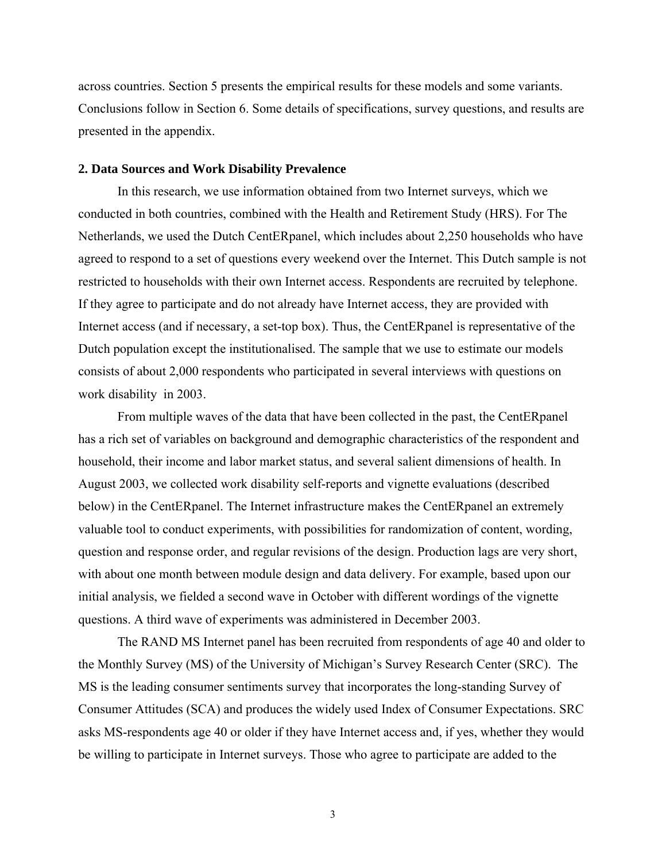across countries. Section 5 presents the empirical results for these models and some variants. Conclusions follow in Section 6. Some details of specifications, survey questions, and results are presented in the appendix.

## **2. Data Sources and Work Disability Prevalence**

 In this research, we use information obtained from two Internet surveys, which we conducted in both countries, combined with the Health and Retirement Study (HRS). For The Netherlands, we used the Dutch CentERpanel, which includes about 2,250 households who have agreed to respond to a set of questions every weekend over the Internet. This Dutch sample is not restricted to households with their own Internet access. Respondents are recruited by telephone. If they agree to participate and do not already have Internet access, they are provided with Internet access (and if necessary, a set-top box). Thus, the CentERpanel is representative of the Dutch population except the institutionalised. The sample that we use to estimate our models consists of about 2,000 respondents who participated in several interviews with questions on work disability in 2003.

From multiple waves of the data that have been collected in the past, the CentERpanel has a rich set of variables on background and demographic characteristics of the respondent and household, their income and labor market status, and several salient dimensions of health. In August 2003, we collected work disability self-reports and vignette evaluations (described below) in the CentERpanel. The Internet infrastructure makes the CentERpanel an extremely valuable tool to conduct experiments, with possibilities for randomization of content, wording, question and response order, and regular revisions of the design. Production lags are very short, with about one month between module design and data delivery. For example, based upon our initial analysis, we fielded a second wave in October with different wordings of the vignette questions. A third wave of experiments was administered in December 2003.

The RAND MS Internet panel has been recruited from respondents of age 40 and older to the Monthly Survey (MS) of the University of Michigan's Survey Research Center (SRC). The MS is the leading consumer sentiments survey that incorporates the long-standing Survey of Consumer Attitudes (SCA) and produces the widely used Index of Consumer Expectations. SRC asks MS-respondents age 40 or older if they have Internet access and, if yes, whether they would be willing to participate in Internet surveys. Those who agree to participate are added to the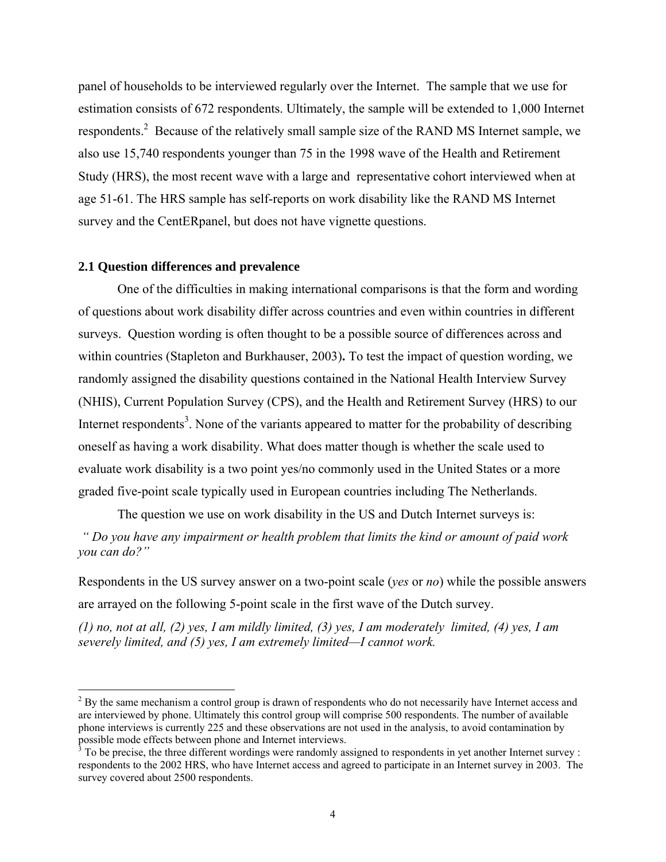panel of households to be interviewed regularly over the Internet. The sample that we use for estimation consists of 672 respondents. Ultimately, the sample will be extended to 1,000 Internet respondents.<sup>2</sup> Because of the relatively small sample size of the RAND MS Internet sample, we also use 15,740 respondents younger than 75 in the 1998 wave of the Health and Retirement Study (HRS), the most recent wave with a large and representative cohort interviewed when at age 51-61. The HRS sample has self-reports on work disability like the RAND MS Internet survey and the CentERpanel, but does not have vignette questions.

## **2.1 Question differences and prevalence**

 $\overline{a}$ 

One of the difficulties in making international comparisons is that the form and wording of questions about work disability differ across countries and even within countries in different surveys. Question wording is often thought to be a possible source of differences across and within countries (Stapleton and Burkhauser, 2003)**.** To test the impact of question wording, we randomly assigned the disability questions contained in the National Health Interview Survey (NHIS), Current Population Survey (CPS), and the Health and Retirement Survey (HRS) to our Internet respondents<sup>3</sup>. None of the variants appeared to matter for the probability of describing oneself as having a work disability. What does matter though is whether the scale used to evaluate work disability is a two point yes/no commonly used in the United States or a more graded five-point scale typically used in European countries including The Netherlands.

The question we use on work disability in the US and Dutch Internet surveys is:

 *" Do you have any impairment or health problem that limits the kind or amount of paid work you can do?"* 

Respondents in the US survey answer on a two-point scale (*yes* or *no*) while the possible answers are arrayed on the following 5-point scale in the first wave of the Dutch survey.

*(1) no, not at all, (2) yes, I am mildly limited, (3) yes, I am moderately limited, (4) yes, I am severely limited, and (5) yes, I am extremely limited—I cannot work.* 

 $2^2$  By the same mechanism a control group is drawn of respondents who do not necessarily have Internet access and are interviewed by phone. Ultimately this control group will comprise 500 respondents. The number of available phone interviews is currently 225 and these observations are not used in the analysis, to avoid contamination by possible mode effects between phone and Internet interviews.<br><sup>3</sup> To be precise, the three different wordings were randomly assigned to respondents in yet another Internet survey :

respondents to the 2002 HRS, who have Internet access and agreed to participate in an Internet survey in 2003. The survey covered about 2500 respondents.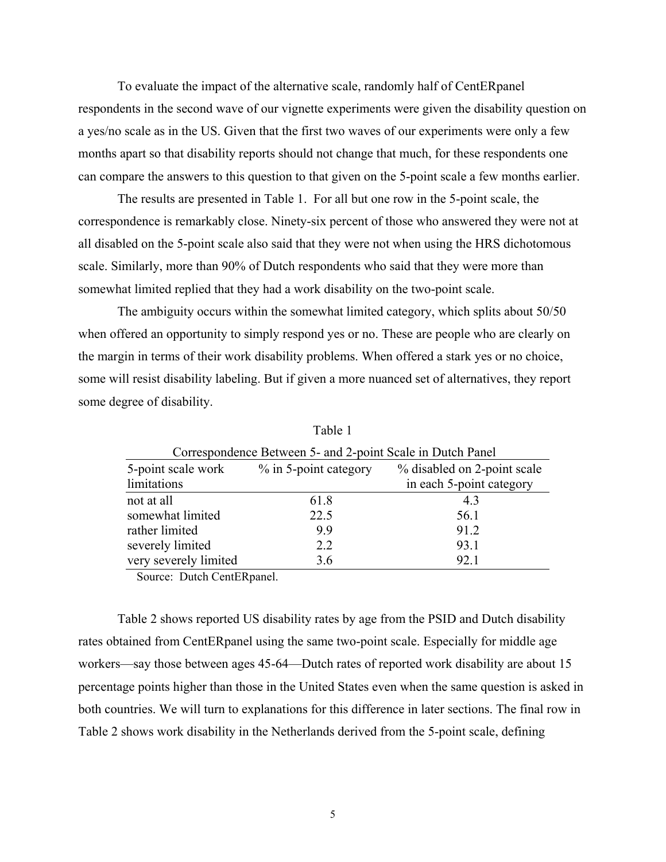To evaluate the impact of the alternative scale, randomly half of CentERpanel respondents in the second wave of our vignette experiments were given the disability question on a yes/no scale as in the US. Given that the first two waves of our experiments were only a few months apart so that disability reports should not change that much, for these respondents one can compare the answers to this question to that given on the 5-point scale a few months earlier.

The results are presented in Table 1. For all but one row in the 5-point scale, the correspondence is remarkably close. Ninety-six percent of those who answered they were not at all disabled on the 5-point scale also said that they were not when using the HRS dichotomous scale. Similarly, more than 90% of Dutch respondents who said that they were more than somewhat limited replied that they had a work disability on the two-point scale.

The ambiguity occurs within the somewhat limited category, which splits about 50/50 when offered an opportunity to simply respond yes or no. These are people who are clearly on the margin in terms of their work disability problems. When offered a stark yes or no choice, some will resist disability labeling. But if given a more nuanced set of alternatives, they report some degree of disability.

| Correspondence Between 5- and 2-point Scale in Dutch Panel                 |      |                          |  |  |  |  |
|----------------------------------------------------------------------------|------|--------------------------|--|--|--|--|
| % in 5-point category<br>5-point scale work<br>% disabled on 2-point scale |      |                          |  |  |  |  |
| limitations                                                                |      | in each 5-point category |  |  |  |  |
| not at all                                                                 | 61.8 | 43                       |  |  |  |  |
| somewhat limited                                                           | 22.5 | 56.1                     |  |  |  |  |
| rather limited                                                             | 9.9  | 91.2                     |  |  |  |  |
| severely limited                                                           | 2.2  | 93.1                     |  |  |  |  |
| very severely limited                                                      | 3.6  | 92.1                     |  |  |  |  |
| Corneal Dutch Cont Dugual                                                  |      |                          |  |  |  |  |

Table 1

Source: Dutch CentERpanel.

Table 2 shows reported US disability rates by age from the PSID and Dutch disability rates obtained from CentERpanel using the same two-point scale. Especially for middle age workers—say those between ages 45-64—Dutch rates of reported work disability are about 15 percentage points higher than those in the United States even when the same question is asked in both countries. We will turn to explanations for this difference in later sections. The final row in Table 2 shows work disability in the Netherlands derived from the 5-point scale, defining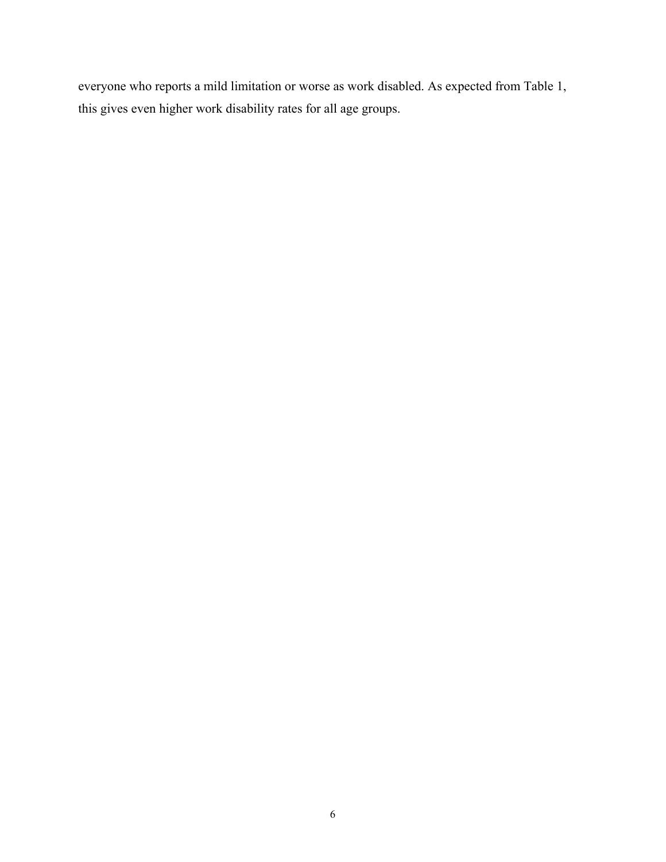everyone who reports a mild limitation or worse as work disabled. As expected from Table 1, this gives even higher work disability rates for all age groups.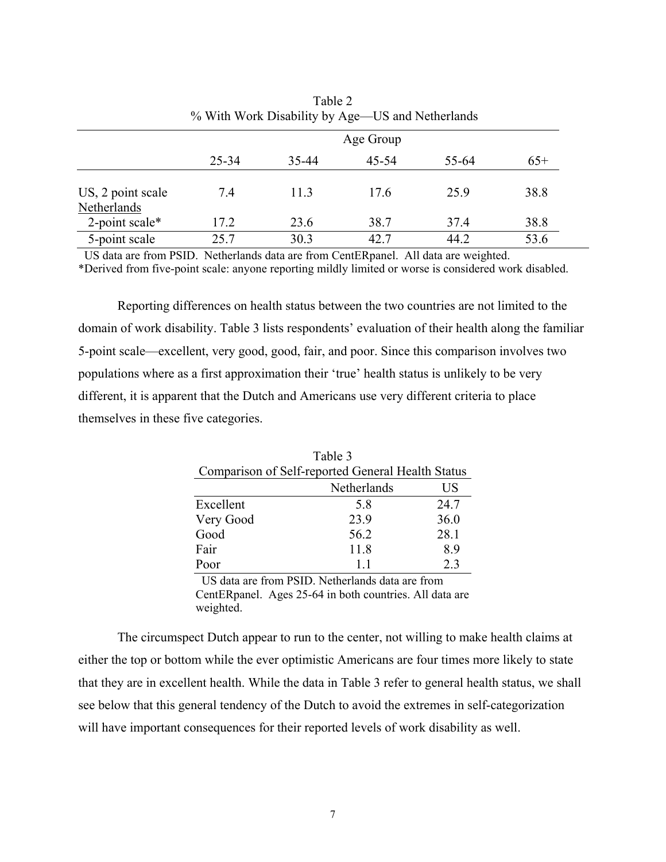|                                  | % With Work Disability by Age—US and Netherlands |       |       |       |       |  |  |  |
|----------------------------------|--------------------------------------------------|-------|-------|-------|-------|--|--|--|
|                                  | Age Group                                        |       |       |       |       |  |  |  |
|                                  | 25-34                                            | 35-44 | 45-54 | 55-64 | $65+$ |  |  |  |
| US, 2 point scale<br>Netherlands | 7.4                                              | 11.3  | 17.6  | 25.9  | 38.8  |  |  |  |
| 2-point scale*                   | 17.2                                             | 23.6  | 38.7  | 37.4  | 38.8  |  |  |  |
| 5-point scale                    | 25.7                                             | 30.3  | 42.7  | 44.2  | 53.6  |  |  |  |

| Table 2                                          |
|--------------------------------------------------|
| % With Work Disability by Age—US and Netherlands |

US data are from PSID. Netherlands data are from CentERpanel. All data are weighted.

\*Derived from five-point scale: anyone reporting mildly limited or worse is considered work disabled.

Reporting differences on health status between the two countries are not limited to the domain of work disability. Table 3 lists respondents' evaluation of their health along the familiar 5-point scale—excellent, very good, good, fair, and poor. Since this comparison involves two populations where as a first approximation their 'true' health status is unlikely to be very different, it is apparent that the Dutch and Americans use very different criteria to place themselves in these five categories.

| Table 3                                           |                      |      |  |  |  |  |
|---------------------------------------------------|----------------------|------|--|--|--|--|
| Comparison of Self-reported General Health Status |                      |      |  |  |  |  |
| Netherlands<br>US                                 |                      |      |  |  |  |  |
| Excellent                                         | 5.8                  | 24.7 |  |  |  |  |
| Very Good                                         | 23.9                 | 36.0 |  |  |  |  |
| Good                                              | 56.2                 | 28.1 |  |  |  |  |
| Fair                                              | 11.8                 | 8.9  |  |  |  |  |
| Poor                                              | 11                   | 2.3  |  |  |  |  |
| T T T T 1<br>$\mathbf{r}$                         | <b>Print 1 1 1 1</b> |      |  |  |  |  |

 US data are from PSID. Netherlands data are from CentERpanel. Ages 25-64 in both countries. All data are weighted.

The circumspect Dutch appear to run to the center, not willing to make health claims at either the top or bottom while the ever optimistic Americans are four times more likely to state that they are in excellent health. While the data in Table 3 refer to general health status, we shall see below that this general tendency of the Dutch to avoid the extremes in self-categorization will have important consequences for their reported levels of work disability as well.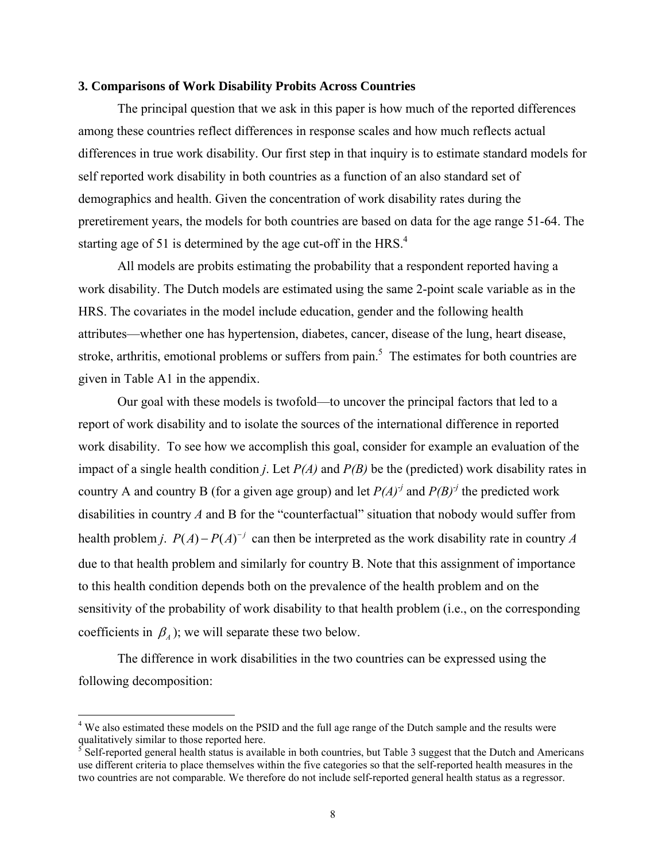## **3. Comparisons of Work Disability Probits Across Countries**

 The principal question that we ask in this paper is how much of the reported differences among these countries reflect differences in response scales and how much reflects actual differences in true work disability. Our first step in that inquiry is to estimate standard models for self reported work disability in both countries as a function of an also standard set of demographics and health. Given the concentration of work disability rates during the preretirement years, the models for both countries are based on data for the age range 51-64. The starting age of 51 is determined by the age cut-off in the HRS. $4$ 

 All models are probits estimating the probability that a respondent reported having a work disability. The Dutch models are estimated using the same 2-point scale variable as in the HRS. The covariates in the model include education, gender and the following health attributes—whether one has hypertension, diabetes, cancer, disease of the lung, heart disease, stroke, arthritis, emotional problems or suffers from pain.<sup>5</sup> The estimates for both countries are given in Table A1 in the appendix.

 Our goal with these models is twofold—to uncover the principal factors that led to a report of work disability and to isolate the sources of the international difference in reported work disability. To see how we accomplish this goal, consider for example an evaluation of the impact of a single health condition *j*. Let *P(A)* and *P(B)* be the (predicted) work disability rates in country A and country B (for a given age group) and let  $P(A)^{j}$  and  $P(B)^{j}$  the predicted work disabilities in country *A* and B for the "counterfactual" situation that nobody would suffer from health problem *j*.  $P(A) - P(A)^{-j}$  can then be interpreted as the work disability rate in country *A* due to that health problem and similarly for country B. Note that this assignment of importance to this health condition depends both on the prevalence of the health problem and on the sensitivity of the probability of work disability to that health problem (i.e., on the corresponding coefficients in  $\beta_A$ ); we will separate these two below.

The difference in work disabilities in the two countries can be expressed using the following decomposition:

 $\overline{a}$ 

<sup>&</sup>lt;sup>4</sup> We also estimated these models on the PSID and the full age range of the Dutch sample and the results were qualitatively similar to those reported here.<br><sup>5</sup> Self-reported general health status is available in both countries, but Table 3 suggest that the Dutch and Americans

use different criteria to place themselves within the five categories so that the self-reported health measures in the two countries are not comparable. We therefore do not include self-reported general health status as a regressor.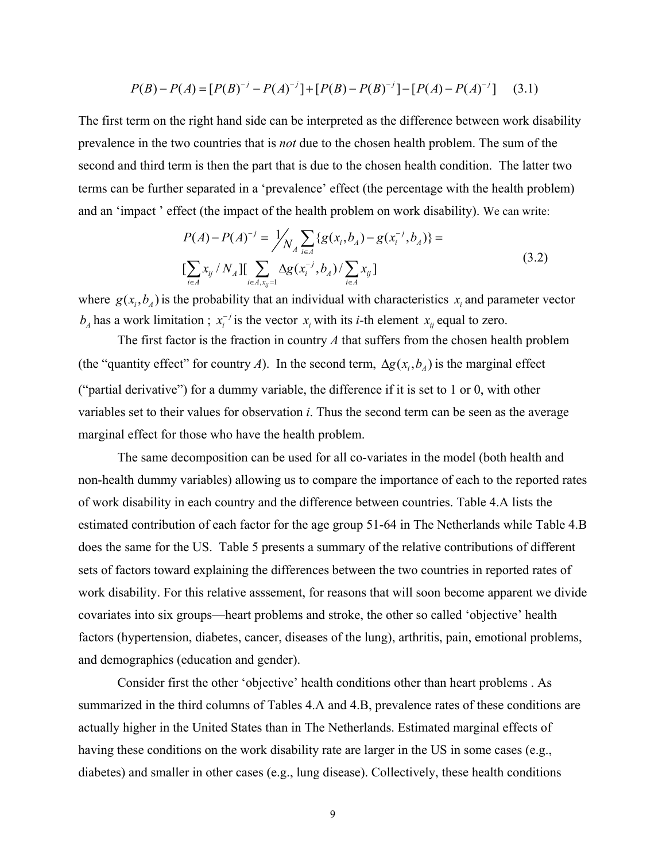$$
P(B) - P(A) = [P(B)^{-1} - P(A)^{-1}] + [P(B) - P(B)^{-1}] - [P(A) - P(A)^{-1}] \tag{3.1}
$$

The first term on the right hand side can be interpreted as the difference between work disability prevalence in the two countries that is *not* due to the chosen health problem. The sum of the second and third term is then the part that is due to the chosen health condition. The latter two terms can be further separated in a 'prevalence' effect (the percentage with the health problem) and an 'impact ' effect (the impact of the health problem on work disability). We can write:

$$
P(A) - P(A)^{-j} = \frac{1}{N_A} \sum_{i \in A} \{g(x_i, b_A) - g(x_i^{-j}, b_A)\} =
$$
  
\n
$$
\left[ \sum_{i \in A} x_{ij} / N_A \right] \left[ \sum_{i \in A, x_{ij} = 1} \Delta g(x_i^{-j}, b_A) / \sum_{i \in A} x_{ij} \right]
$$
\n(3.2)

where  $g(x_i, b_i)$  is the probability that an individual with characteristics  $x_i$  and parameter vector  $b_A$  has a work limitation ;  $x_i^{-j}$  is the vector  $x_i$  with its *i*-th element  $x_{ij}$  equal to zero.

The first factor is the fraction in country *A* that suffers from the chosen health problem (the "quantity effect" for country *A*). In the second term,  $\Delta g(x_i, b_i)$  is the marginal effect ("partial derivative") for a dummy variable, the difference if it is set to 1 or 0, with other variables set to their values for observation *i*. Thus the second term can be seen as the average marginal effect for those who have the health problem.

The same decomposition can be used for all co-variates in the model (both health and non-health dummy variables) allowing us to compare the importance of each to the reported rates of work disability in each country and the difference between countries. Table 4.A lists the estimated contribution of each factor for the age group 51-64 in The Netherlands while Table 4.B does the same for the US. Table 5 presents a summary of the relative contributions of different sets of factors toward explaining the differences between the two countries in reported rates of work disability. For this relative asssement, for reasons that will soon become apparent we divide covariates into six groups—heart problems and stroke, the other so called 'objective' health factors (hypertension, diabetes, cancer, diseases of the lung), arthritis, pain, emotional problems, and demographics (education and gender).

Consider first the other 'objective' health conditions other than heart problems . As summarized in the third columns of Tables 4.A and 4.B, prevalence rates of these conditions are actually higher in the United States than in The Netherlands. Estimated marginal effects of having these conditions on the work disability rate are larger in the US in some cases (e.g., diabetes) and smaller in other cases (e.g., lung disease). Collectively, these health conditions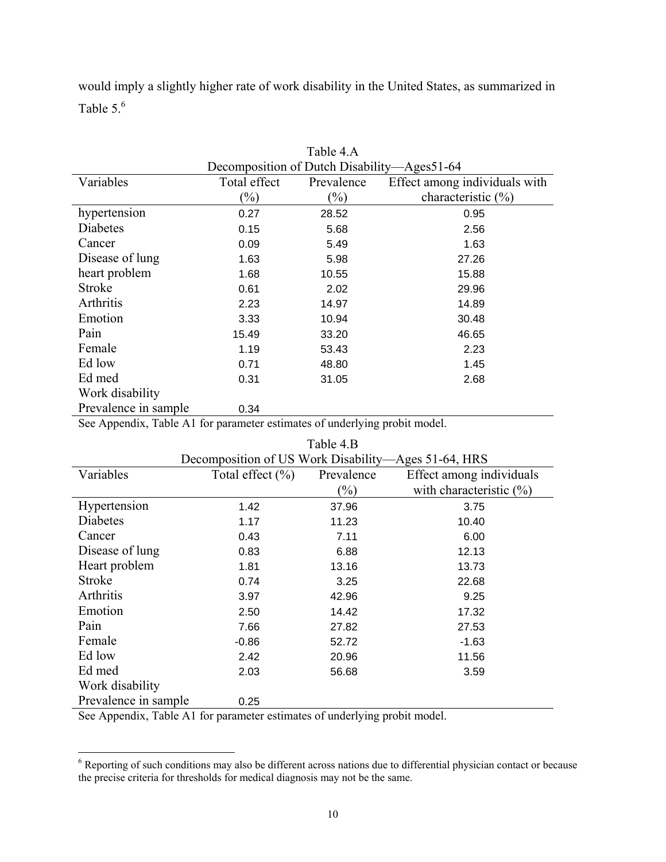would imply a slightly higher rate of work disability in the United States, as summarized in Table  $5<sup>6</sup>$ 

|                      |                                             | Table 4.A  |                               |  |  |  |  |
|----------------------|---------------------------------------------|------------|-------------------------------|--|--|--|--|
|                      | Decomposition of Dutch Disability—Ages51-64 |            |                               |  |  |  |  |
| Variables            | Total effect                                | Prevalence | Effect among individuals with |  |  |  |  |
|                      | $(\%)$                                      | $(\%)$     | characteristic $(\% )$        |  |  |  |  |
| hypertension         | 0.27                                        | 28.52      | 0.95                          |  |  |  |  |
| Diabetes             | 0.15                                        | 5.68       | 2.56                          |  |  |  |  |
| Cancer               | 0.09                                        | 5.49       | 1.63                          |  |  |  |  |
| Disease of lung      | 1.63                                        | 5.98       | 27.26                         |  |  |  |  |
| heart problem        | 1.68                                        | 10.55      | 15.88                         |  |  |  |  |
| <b>Stroke</b>        | 0.61                                        | 2.02       | 29.96                         |  |  |  |  |
| Arthritis            | 2.23                                        | 14.97      | 14.89                         |  |  |  |  |
| Emotion              | 3.33                                        | 10.94      | 30.48                         |  |  |  |  |
| Pain                 | 15.49                                       | 33.20      | 46.65                         |  |  |  |  |
| Female               | 1.19                                        | 53.43      | 2.23                          |  |  |  |  |
| Ed low               | 0.71                                        | 48.80      | 1.45                          |  |  |  |  |
| Ed med               | 0.31                                        | 31.05      | 2.68                          |  |  |  |  |
| Work disability      |                                             |            |                               |  |  |  |  |
| Prevalence in sample | 0.34                                        |            |                               |  |  |  |  |

See Appendix, Table A1 for parameter estimates of underlying probit model.

|                      |                                                     | Table 4.B  |                             |  |  |  |  |  |
|----------------------|-----------------------------------------------------|------------|-----------------------------|--|--|--|--|--|
|                      | Decomposition of US Work Disability—Ages 51-64, HRS |            |                             |  |  |  |  |  |
| Variables            | Total effect $(\% )$                                | Prevalence | Effect among individuals    |  |  |  |  |  |
|                      |                                                     | $(\%)$     | with characteristic $(\% )$ |  |  |  |  |  |
| Hypertension         | 1.42                                                | 37.96      | 3.75                        |  |  |  |  |  |
| Diabetes             | 1.17                                                | 11.23      | 10.40                       |  |  |  |  |  |
| Cancer               | 0.43                                                | 7.11       | 6.00                        |  |  |  |  |  |
| Disease of lung      | 0.83                                                | 6.88       | 12.13                       |  |  |  |  |  |
| Heart problem        | 1.81                                                | 13.16      | 13.73                       |  |  |  |  |  |
| <b>Stroke</b>        | 0.74                                                | 3.25       | 22.68                       |  |  |  |  |  |
| Arthritis            | 3.97                                                | 42.96      | 9.25                        |  |  |  |  |  |
| Emotion              | 2.50                                                | 14.42      | 17.32                       |  |  |  |  |  |
| Pain                 | 7.66                                                | 27.82      | 27.53                       |  |  |  |  |  |
| Female               | $-0.86$                                             | 52.72      | $-1.63$                     |  |  |  |  |  |
| Ed low               | 2.42                                                | 20.96      | 11.56                       |  |  |  |  |  |
| Ed med               | 2.03                                                | 56.68      | 3.59                        |  |  |  |  |  |
| Work disability      |                                                     |            |                             |  |  |  |  |  |
| Prevalence in sample | 0.25                                                |            |                             |  |  |  |  |  |

See Appendix, Table A1 for parameter estimates of underlying probit model.

<sup>&</sup>lt;sup>6</sup> Reporting of such conditions may also be different across nations due to differential physician contact or because the precise criteria for thresholds for medical diagnosis may not be the same.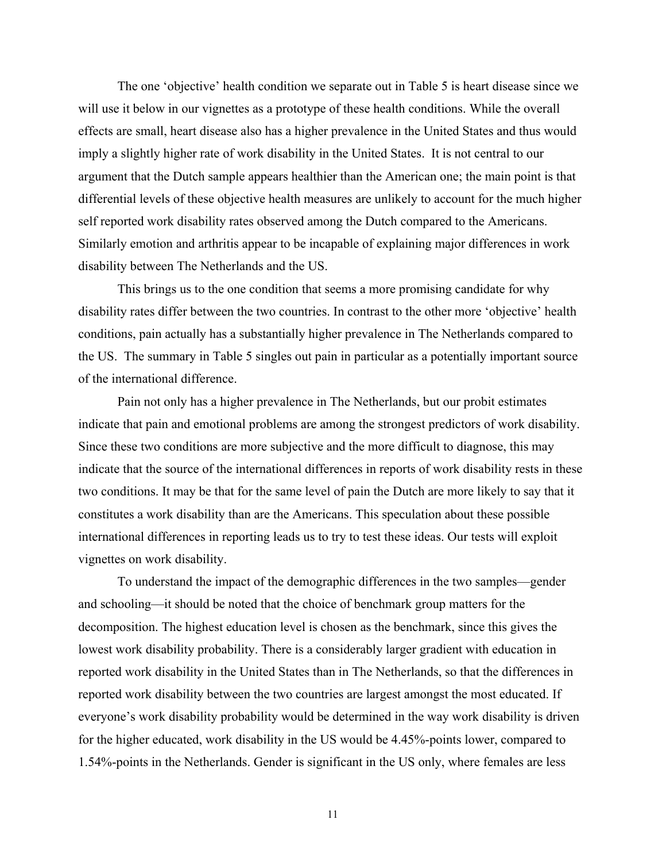The one 'objective' health condition we separate out in Table 5 is heart disease since we will use it below in our vignettes as a prototype of these health conditions. While the overall effects are small, heart disease also has a higher prevalence in the United States and thus would imply a slightly higher rate of work disability in the United States. It is not central to our argument that the Dutch sample appears healthier than the American one; the main point is that differential levels of these objective health measures are unlikely to account for the much higher self reported work disability rates observed among the Dutch compared to the Americans. Similarly emotion and arthritis appear to be incapable of explaining major differences in work disability between The Netherlands and the US.

This brings us to the one condition that seems a more promising candidate for why disability rates differ between the two countries. In contrast to the other more 'objective' health conditions, pain actually has a substantially higher prevalence in The Netherlands compared to the US. The summary in Table 5 singles out pain in particular as a potentially important source of the international difference.

Pain not only has a higher prevalence in The Netherlands, but our probit estimates indicate that pain and emotional problems are among the strongest predictors of work disability. Since these two conditions are more subjective and the more difficult to diagnose, this may indicate that the source of the international differences in reports of work disability rests in these two conditions. It may be that for the same level of pain the Dutch are more likely to say that it constitutes a work disability than are the Americans. This speculation about these possible international differences in reporting leads us to try to test these ideas. Our tests will exploit vignettes on work disability.

To understand the impact of the demographic differences in the two samples—gender and schooling—it should be noted that the choice of benchmark group matters for the decomposition. The highest education level is chosen as the benchmark, since this gives the lowest work disability probability. There is a considerably larger gradient with education in reported work disability in the United States than in The Netherlands, so that the differences in reported work disability between the two countries are largest amongst the most educated. If everyone's work disability probability would be determined in the way work disability is driven for the higher educated, work disability in the US would be 4.45%-points lower, compared to 1.54%-points in the Netherlands. Gender is significant in the US only, where females are less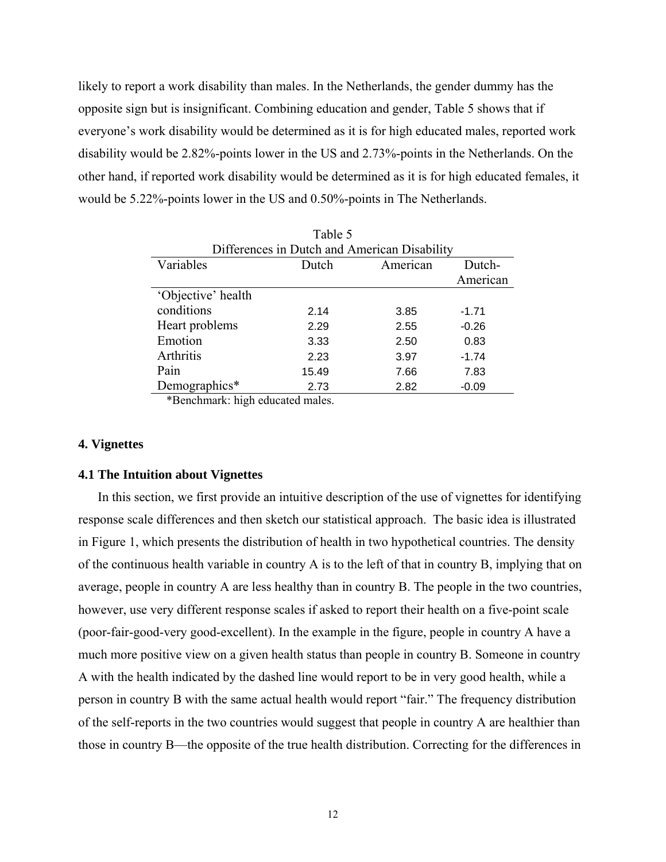likely to report a work disability than males. In the Netherlands, the gender dummy has the opposite sign but is insignificant. Combining education and gender, Table 5 shows that if everyone's work disability would be determined as it is for high educated males, reported work disability would be 2.82%-points lower in the US and 2.73%-points in the Netherlands. On the other hand, if reported work disability would be determined as it is for high educated females, it would be 5.22%-points lower in the US and 0.50%-points in The Netherlands.

| Table 5            |       |                                              |          |  |  |  |
|--------------------|-------|----------------------------------------------|----------|--|--|--|
|                    |       | Differences in Dutch and American Disability |          |  |  |  |
| Variables          | Dutch | American                                     | Dutch-   |  |  |  |
|                    |       |                                              | American |  |  |  |
| 'Objective' health |       |                                              |          |  |  |  |
| conditions         | 2.14  | 3.85                                         | $-1.71$  |  |  |  |
| Heart problems     | 2.29  | 2.55                                         | $-0.26$  |  |  |  |
| Emotion            | 3.33  | 2.50                                         | 0.83     |  |  |  |
| Arthritis          | 2.23  | 3.97                                         | $-1.74$  |  |  |  |
| Pain               | 15.49 | 7.66                                         | 7.83     |  |  |  |
| Demographics*      | 2.73  | 2.82                                         | $-0.09$  |  |  |  |

\*Benchmark: high educated males.

## **4. Vignettes**

#### **4.1 The Intuition about Vignettes**

In this section, we first provide an intuitive description of the use of vignettes for identifying response scale differences and then sketch our statistical approach. The basic idea is illustrated in Figure 1, which presents the distribution of health in two hypothetical countries. The density of the continuous health variable in country A is to the left of that in country B, implying that on average, people in country A are less healthy than in country B. The people in the two countries, however, use very different response scales if asked to report their health on a five-point scale (poor-fair-good-very good-excellent). In the example in the figure, people in country A have a much more positive view on a given health status than people in country B. Someone in country A with the health indicated by the dashed line would report to be in very good health, while a person in country B with the same actual health would report "fair." The frequency distribution of the self-reports in the two countries would suggest that people in country A are healthier than those in country B—the opposite of the true health distribution. Correcting for the differences in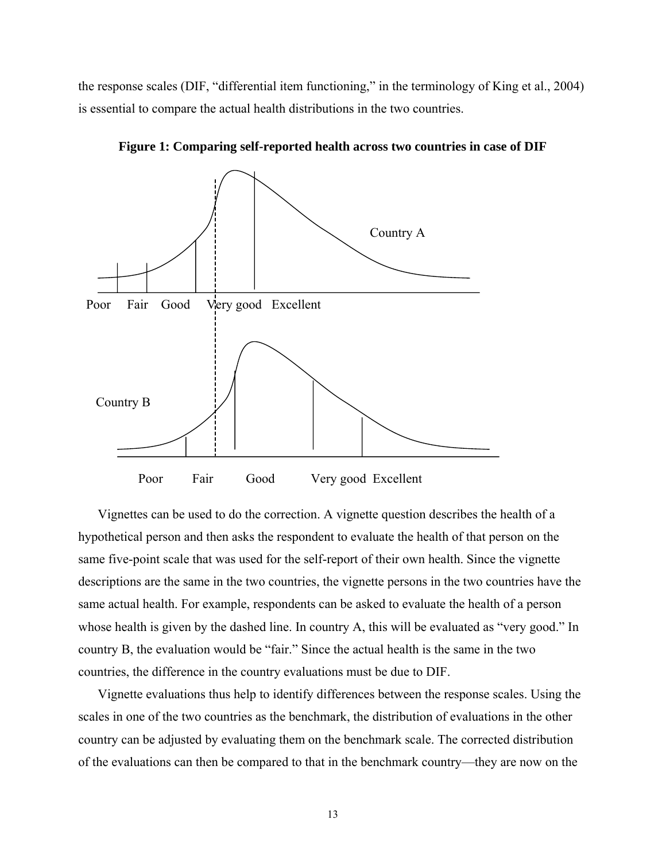the response scales (DIF, "differential item functioning," in the terminology of King et al., 2004) is essential to compare the actual health distributions in the two countries.



**Figure 1: Comparing self-reported health across two countries in case of DIF** 

Vignettes can be used to do the correction. A vignette question describes the health of a hypothetical person and then asks the respondent to evaluate the health of that person on the same five-point scale that was used for the self-report of their own health. Since the vignette descriptions are the same in the two countries, the vignette persons in the two countries have the same actual health. For example, respondents can be asked to evaluate the health of a person whose health is given by the dashed line. In country A, this will be evaluated as "very good." In country B, the evaluation would be "fair." Since the actual health is the same in the two countries, the difference in the country evaluations must be due to DIF.

Vignette evaluations thus help to identify differences between the response scales. Using the scales in one of the two countries as the benchmark, the distribution of evaluations in the other country can be adjusted by evaluating them on the benchmark scale. The corrected distribution of the evaluations can then be compared to that in the benchmark country—they are now on the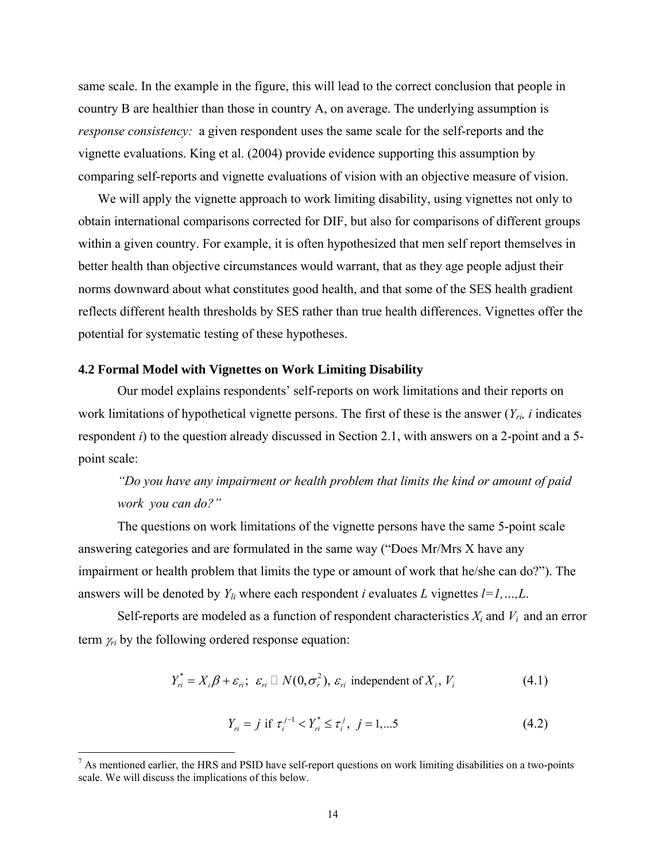same scale. In the example in the figure, this will lead to the correct conclusion that people in country B are healthier than those in country A, on average. The underlying assumption is *response consistency:* a given respondent uses the same scale for the self-reports and the vignette evaluations. King et al. (2004) provide evidence supporting this assumption by comparing self-reports and vignette evaluations of vision with an objective measure of vision.

We will apply the vignette approach to work limiting disability, using vignettes not only to obtain international comparisons corrected for DIF, but also for comparisons of different groups within a given country. For example, it is often hypothesized that men self report themselves in better health than objective circumstances would warrant, that as they age people adjust their norms downward about what constitutes good health, and that some of the SES health gradient reflects different health thresholds by SES rather than true health differences. Vignettes offer the potential for systematic testing of these hypotheses.

### **4.2 Formal Model with Vignettes on Work Limiting Disability**

 $\overline{a}$ 

Our model explains respondents' self-reports on work limitations and their reports on work limitations of hypothetical vignette persons. The first of these is the answer (*Yri, i* indicates respondent *i*) to the question already discussed in Section 2.1, with answers on a 2-point and a 5point scale:

# *"Do you have any impairment or health problem that limits the kind or amount of paid work you can do?"*

 The questions on work limitations of the vignette persons have the same 5-point scale answering categories and are formulated in the same way ("Does Mr/Mrs X have any impairment or health problem that limits the type or amount of work that he/she can do?"). The answers will be denoted by  $Y_{li}$  where each respondent *i* evaluates *L* vignettes  $l = 1, ..., L$ .

Self-reports are modeled as a function of respondent characteristics  $X_i$  and  $V_i$  and an error term  $\gamma_{ri}$  by the following ordered response equation:

$$
Y_{ri}^* = X_i \beta + \varepsilon_{ri}; \ \varepsilon_{ri} \square N(0, \sigma_r^2), \ \varepsilon_{ri} \text{ independent of } X_i, \ V_i
$$
 (4.1)

$$
Y_{ri} = j \text{ if } \tau_i^{j-1} < Y_{ri}^* \le \tau_i^j, \ j = 1, \dots 5 \tag{4.2}
$$

 $<sup>7</sup>$  As mentioned earlier, the HRS and PSID have self-report questions on work limiting disabilities on a two-points</sup> scale. We will discuss the implications of this below.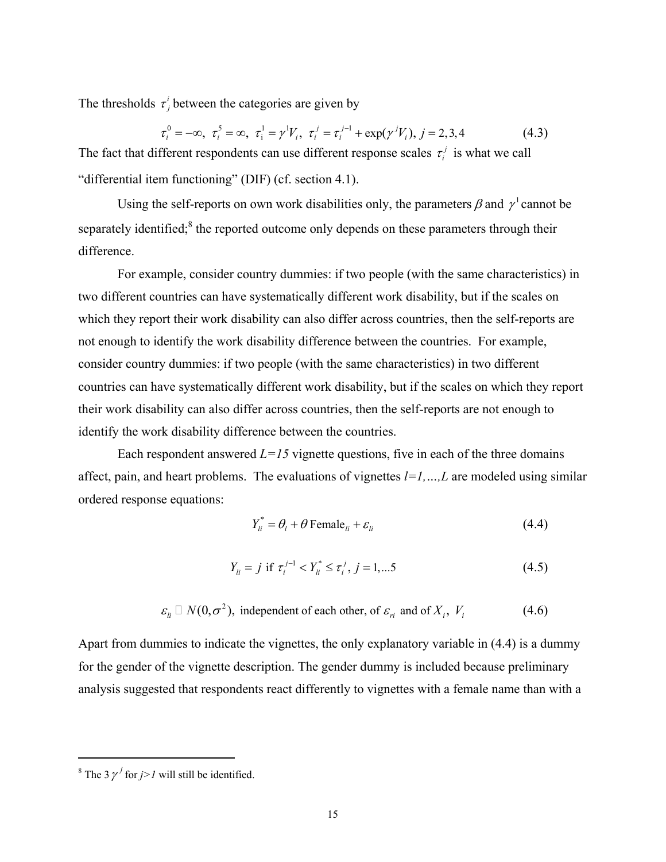The thresholds  $\tau_j^i$  between the categories are given by

$$
\tau_i^0 = -\infty, \ \tau_i^5 = \infty, \ \tau_i^1 = \gamma^1 V_i, \ \tau_i^j = \tau_i^{j-1} + \exp(\gamma^j V_i), \ j = 2, 3, 4 \tag{4.3}
$$

The fact that different respondents can use different response scales  $\tau_i^j$  is what we call "differential item functioning" (DIF) (cf. section 4.1).

Using the self-reports on own work disabilities only, the parameters  $\beta$  and  $\gamma^1$  cannot be separately identified;<sup>8</sup> the reported outcome only depends on these parameters through their difference.

 For example, consider country dummies: if two people (with the same characteristics) in two different countries can have systematically different work disability, but if the scales on which they report their work disability can also differ across countries, then the self-reports are not enough to identify the work disability difference between the countries. For example, consider country dummies: if two people (with the same characteristics) in two different countries can have systematically different work disability, but if the scales on which they report their work disability can also differ across countries, then the self-reports are not enough to identify the work disability difference between the countries.

Each respondent answered  $L=15$  vignette questions, five in each of the three domains affect, pain, and heart problems. The evaluations of vignettes *l=1,…,L* are modeled using similar ordered response equations:

$$
Y_{li}^* = \theta_l + \theta \text{ Female}_{li} + \varepsilon_{li} \tag{4.4}
$$

$$
Y_{li} = j \text{ if } \tau_i^{j-1} < Y_{li}^* \le \tau_i^j, \ j = 1, \dots 5 \tag{4.5}
$$

$$
\varepsilon_{ii}
$$
  $\Box N(0, \sigma^2)$ , independent of each other, of  $\varepsilon_{ri}$  and of  $X_i$ ,  $V_i$  (4.6)

Apart from dummies to indicate the vignettes, the only explanatory variable in (4.4) is a dummy for the gender of the vignette description. The gender dummy is included because preliminary analysis suggested that respondents react differently to vignettes with a female name than with a

<sup>&</sup>lt;sup>8</sup> The 3  $\gamma^j$  for *j>1* will still be identified.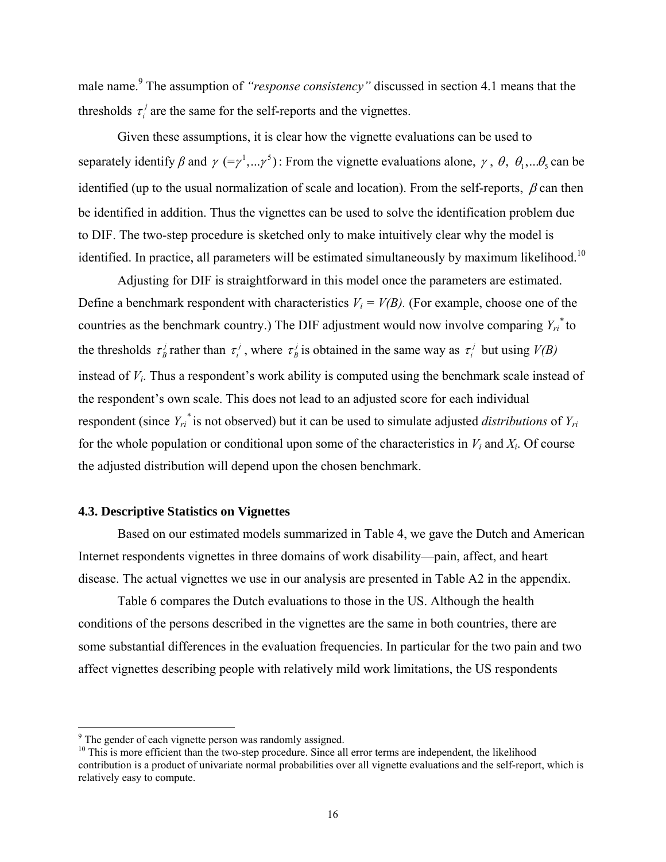male name.<sup>9</sup> The assumption of *"response consistency"* discussed in section 4.1 means that the thresholds  $\tau_i^j$  are the same for the self-reports and the vignettes.

 Given these assumptions, it is clear how the vignette evaluations can be used to separately identify *β* and  $\gamma$  (=  $\gamma^1,...\gamma^5$ ): From the vignette evaluations alone,  $\gamma$ ,  $\theta$ ,  $\theta_1,...\theta_5$  can be identified (up to the usual normalization of scale and location). From the self-reports,  $\beta$  can then be identified in addition. Thus the vignettes can be used to solve the identification problem due to DIF. The two-step procedure is sketched only to make intuitively clear why the model is identified. In practice, all parameters will be estimated simultaneously by maximum likelihood.<sup>10</sup>

 Adjusting for DIF is straightforward in this model once the parameters are estimated. Define a benchmark respondent with characteristics  $V_i = V(B)$ . (For example, choose one of the countries as the benchmark country.) The DIF adjustment would now involve comparing  $Y_{ri}^*$  to the thresholds  $\tau^j$  rather than  $\tau^j$ , where  $\tau^j$  is obtained in the same way as  $\tau^j$  but using *V(B)* instead of *Vi*. Thus a respondent's work ability is computed using the benchmark scale instead of the respondent's own scale. This does not lead to an adjusted score for each individual respondent (since *Yri \** is not observed) but it can be used to simulate adjusted *distributions* of *Yri* for the whole population or conditional upon some of the characteristics in  $V_i$  and  $X_i$ . Of course the adjusted distribution will depend upon the chosen benchmark.

## **4.3. Descriptive Statistics on Vignettes**

Based on our estimated models summarized in Table 4, we gave the Dutch and American Internet respondents vignettes in three domains of work disability—pain, affect, and heart disease. The actual vignettes we use in our analysis are presented in Table A2 in the appendix.

Table 6 compares the Dutch evaluations to those in the US. Although the health conditions of the persons described in the vignettes are the same in both countries, there are some substantial differences in the evaluation frequencies. In particular for the two pain and two affect vignettes describing people with relatively mild work limitations, the US respondents

<u>.</u>

<sup>&</sup>lt;sup>9</sup> The gender of each vignette person was randomly assigned.

 $10$  This is more efficient than the two-step procedure. Since all error terms are independent, the likelihood contribution is a product of univariate normal probabilities over all vignette evaluations and the self-report, which is relatively easy to compute.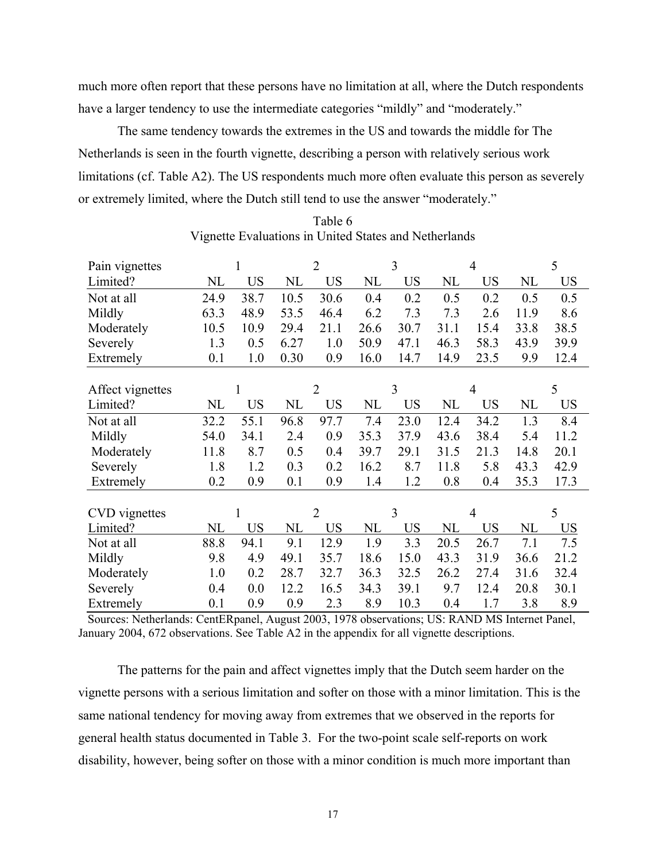much more often report that these persons have no limitation at all, where the Dutch respondents have a larger tendency to use the intermediate categories "mildly" and "moderately."

The same tendency towards the extremes in the US and towards the middle for The Netherlands is seen in the fourth vignette, describing a person with relatively serious work limitations (cf. Table A2). The US respondents much more often evaluate this person as severely or extremely limited, where the Dutch still tend to use the answer "moderately."

| Pain vignettes   |          |           |      | $\overline{2}$ |          | 3         |          | $\overline{4}$ |          | 5         |
|------------------|----------|-----------|------|----------------|----------|-----------|----------|----------------|----------|-----------|
| Limited?         | NL       | <b>US</b> | NL   | <b>US</b>      | NL       | <b>US</b> | NL       | <b>US</b>      | NL       | <b>US</b> |
| Not at all       | 24.9     | 38.7      | 10.5 | 30.6           | 0.4      | 0.2       | 0.5      | 0.2            | 0.5      | 0.5       |
| Mildly           | 63.3     | 48.9      | 53.5 | 46.4           | 6.2      | 7.3       | 7.3      | 2.6            | 11.9     | 8.6       |
| Moderately       | 10.5     | 10.9      | 29.4 | 21.1           | 26.6     | 30.7      | 31.1     | 15.4           | 33.8     | 38.5      |
| Severely         | 1.3      | 0.5       | 6.27 | 1.0            | 50.9     | 47.1      | 46.3     | 58.3           | 43.9     | 39.9      |
| Extremely        | 0.1      | 1.0       | 0.30 | 0.9            | 16.0     | 14.7      | 14.9     | 23.5           | 9.9      | 12.4      |
|                  |          |           |      |                |          |           |          |                |          |           |
| Affect vignettes |          | 1         |      | $\overline{2}$ |          | 3         |          | $\overline{4}$ |          | 5         |
| Limited?         | NL       | <b>US</b> | NL   | <b>US</b>      | NL       | <b>US</b> | NL       | <b>US</b>      | NL       | <b>US</b> |
| Not at all       | 32.2     | 55.1      | 96.8 | 97.7           | 7.4      | 23.0      | 12.4     | 34.2           | 1.3      | 8.4       |
| Mildly           | 54.0     | 34.1      | 2.4  | 0.9            | 35.3     | 37.9      | 43.6     | 38.4           | 5.4      | 11.2      |
| Moderately       | 11.8     | 8.7       | 0.5  | 0.4            | 39.7     | 29.1      | 31.5     | 21.3           | 14.8     | 20.1      |
| Severely         | 1.8      | 1.2       | 0.3  | 0.2            | 16.2     | 8.7       | 11.8     | 5.8            | 43.3     | 42.9      |
| Extremely        | 0.2      | 0.9       | 0.1  | 0.9            | 1.4      | 1.2       | 0.8      | 0.4            | 35.3     | 17.3      |
|                  |          |           |      |                |          |           |          |                |          |           |
| CVD vignettes    |          | 1         |      | $\overline{2}$ |          | 3         |          | $\overline{4}$ |          | 5         |
| Limited?         | $\rm NL$ | <b>US</b> | NL   | <b>US</b>      | $\rm NL$ | <b>US</b> | $\rm NL$ | <b>US</b>      | $\rm NL$ | <b>US</b> |
| Not at all       | 88.8     | 94.1      | 9.1  | 12.9           | 1.9      | 3.3       | 20.5     | 26.7           | 7.1      | 7.5       |
| Mildly           | 9.8      | 4.9       | 49.1 | 35.7           | 18.6     | 15.0      | 43.3     | 31.9           | 36.6     | 21.2      |
| Moderately       | 1.0      | 0.2       | 28.7 | 32.7           | 36.3     | 32.5      | 26.2     | 27.4           | 31.6     | 32.4      |
| Severely         | 0.4      | 0.0       | 12.2 | 16.5           | 34.3     | 39.1      | 9.7      | 12.4           | 20.8     | 30.1      |
| Extremely        | 0.1      | 0.9       | 0.9  | 2.3            | 8.9      | 10.3      | 0.4      | 1.7            | 3.8      | 8.9       |

Table 6 Vignette Evaluations in United States and Netherlands

 Sources: Netherlands: CentERpanel, August 2003, 1978 observations; US: RAND MS Internet Panel, January 2004, 672 observations. See Table A2 in the appendix for all vignette descriptions.

The patterns for the pain and affect vignettes imply that the Dutch seem harder on the vignette persons with a serious limitation and softer on those with a minor limitation. This is the same national tendency for moving away from extremes that we observed in the reports for general health status documented in Table 3. For the two-point scale self-reports on work disability, however, being softer on those with a minor condition is much more important than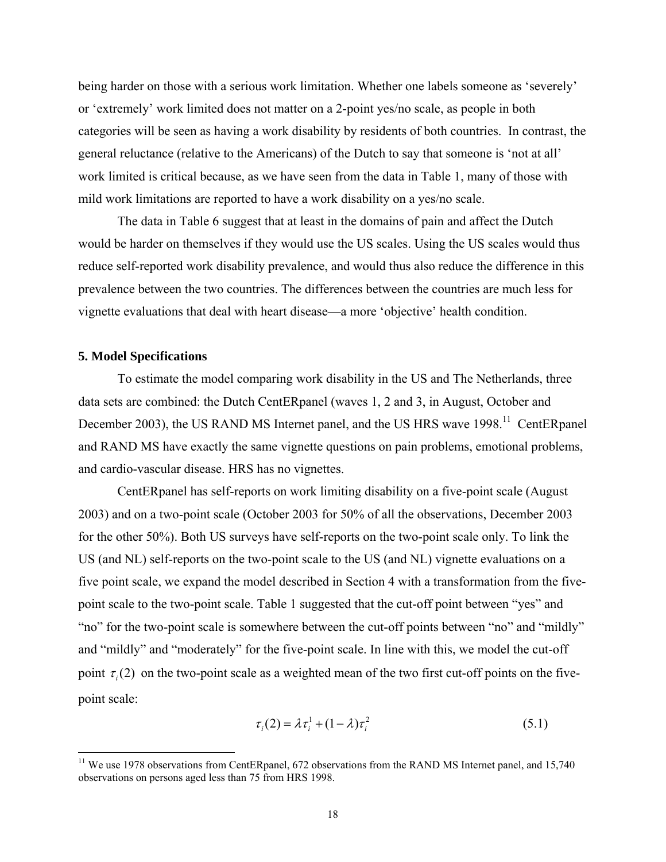being harder on those with a serious work limitation. Whether one labels someone as 'severely' or 'extremely' work limited does not matter on a 2-point yes/no scale, as people in both categories will be seen as having a work disability by residents of both countries. In contrast, the general reluctance (relative to the Americans) of the Dutch to say that someone is 'not at all' work limited is critical because, as we have seen from the data in Table 1, many of those with mild work limitations are reported to have a work disability on a yes/no scale.

The data in Table 6 suggest that at least in the domains of pain and affect the Dutch would be harder on themselves if they would use the US scales. Using the US scales would thus reduce self-reported work disability prevalence, and would thus also reduce the difference in this prevalence between the two countries. The differences between the countries are much less for vignette evaluations that deal with heart disease—a more 'objective' health condition.

## **5. Model Specifications**

 $\overline{a}$ 

To estimate the model comparing work disability in the US and The Netherlands, three data sets are combined: the Dutch CentERpanel (waves 1, 2 and 3, in August, October and December 2003), the US RAND MS Internet panel, and the US HRS wave 1998.<sup>11</sup> CentERpanel and RAND MS have exactly the same vignette questions on pain problems, emotional problems, and cardio-vascular disease. HRS has no vignettes.

CentERpanel has self-reports on work limiting disability on a five-point scale (August 2003) and on a two-point scale (October 2003 for 50% of all the observations, December 2003 for the other 50%). Both US surveys have self-reports on the two-point scale only. To link the US (and NL) self-reports on the two-point scale to the US (and NL) vignette evaluations on a five point scale, we expand the model described in Section 4 with a transformation from the fivepoint scale to the two-point scale. Table 1 suggested that the cut-off point between "yes" and "no" for the two-point scale is somewhere between the cut-off points between "no" and "mildly" and "mildly" and "moderately" for the five-point scale. In line with this, we model the cut-off point  $\tau$  (2) on the two-point scale as a weighted mean of the two first cut-off points on the fivepoint scale:

$$
\tau_i(2) = \lambda \tau_i^1 + (1 - \lambda)\tau_i^2 \tag{5.1}
$$

<sup>&</sup>lt;sup>11</sup> We use 1978 observations from CentERpanel, 672 observations from the RAND MS Internet panel, and 15,740 observations on persons aged less than 75 from HRS 1998.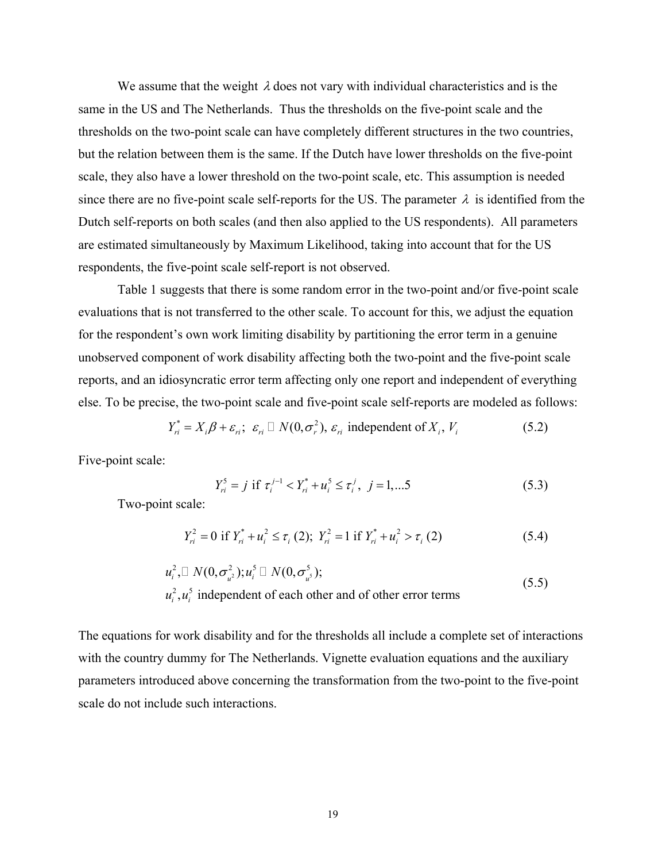We assume that the weight  $\lambda$  does not vary with individual characteristics and is the same in the US and The Netherlands. Thus the thresholds on the five-point scale and the thresholds on the two-point scale can have completely different structures in the two countries, but the relation between them is the same. If the Dutch have lower thresholds on the five-point scale, they also have a lower threshold on the two-point scale, etc. This assumption is needed since there are no five-point scale self-reports for the US. The parameter  $\lambda$  is identified from the Dutch self-reports on both scales (and then also applied to the US respondents). All parameters are estimated simultaneously by Maximum Likelihood, taking into account that for the US respondents, the five-point scale self-report is not observed.

 Table 1 suggests that there is some random error in the two-point and/or five-point scale evaluations that is not transferred to the other scale. To account for this, we adjust the equation for the respondent's own work limiting disability by partitioning the error term in a genuine unobserved component of work disability affecting both the two-point and the five-point scale reports, and an idiosyncratic error term affecting only one report and independent of everything else. To be precise, the two-point scale and five-point scale self-reports are modeled as follows:

$$
Y_{ri}^* = X_i \beta + \varepsilon_{ri}; \ \varepsilon_{ri} \sqcup N(0, \sigma_r^2), \ \varepsilon_{ri} \text{ independent of } X_i, \ V_i
$$
 (5.2)

Five-point scale:

$$
Y_{ri}^{5} = j \text{ if } \tau_{i}^{j-1} < Y_{ri}^{*} + u_{i}^{5} \leq \tau_{i}^{j}, \ \ j = 1, \dots 5 \tag{5.3}
$$

Two-point scale:

$$
Y_{ri}^{2} = 0 \text{ if } Y_{ri}^{*} + u_{i}^{2} \le \tau_{i} \text{ (2); } Y_{ri}^{2} = 1 \text{ if } Y_{ri}^{*} + u_{i}^{2} > \tau_{i} \text{ (2)}
$$
 (5.4)

$$
u_i^2, \Box N(0, \sigma_{u^2}^2); u_i^5 \Box N(0, \sigma_{u^5}^5);
$$
  
\n
$$
u_i^2, u_i^5
$$
 independent of each other and of other error terms (5.5)

The equations for work disability and for the thresholds all include a complete set of interactions with the country dummy for The Netherlands. Vignette evaluation equations and the auxiliary parameters introduced above concerning the transformation from the two-point to the five-point scale do not include such interactions.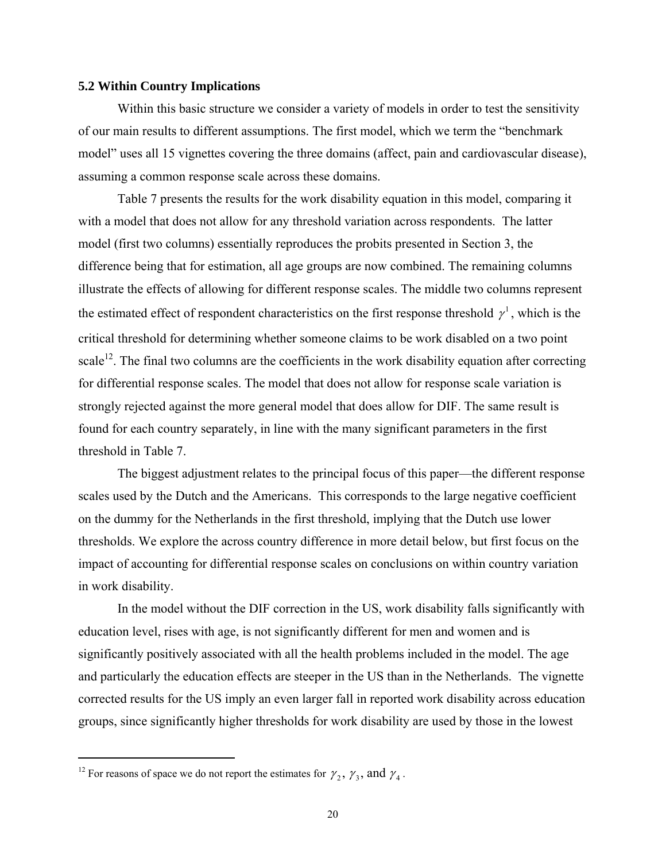## **5.2 Within Country Implications**

Within this basic structure we consider a variety of models in order to test the sensitivity of our main results to different assumptions. The first model, which we term the "benchmark model" uses all 15 vignettes covering the three domains (affect, pain and cardiovascular disease), assuming a common response scale across these domains.

Table 7 presents the results for the work disability equation in this model, comparing it with a model that does not allow for any threshold variation across respondents. The latter model (first two columns) essentially reproduces the probits presented in Section 3, the difference being that for estimation, all age groups are now combined. The remaining columns illustrate the effects of allowing for different response scales. The middle two columns represent the estimated effect of respondent characteristics on the first response threshold  $\gamma^1$ , which is the critical threshold for determining whether someone claims to be work disabled on a two point scale<sup>12</sup>. The final two columns are the coefficients in the work disability equation after correcting for differential response scales. The model that does not allow for response scale variation is strongly rejected against the more general model that does allow for DIF. The same result is found for each country separately, in line with the many significant parameters in the first threshold in Table 7.

The biggest adjustment relates to the principal focus of this paper—the different response scales used by the Dutch and the Americans. This corresponds to the large negative coefficient on the dummy for the Netherlands in the first threshold, implying that the Dutch use lower thresholds. We explore the across country difference in more detail below, but first focus on the impact of accounting for differential response scales on conclusions on within country variation in work disability.

In the model without the DIF correction in the US, work disability falls significantly with education level, rises with age, is not significantly different for men and women and is significantly positively associated with all the health problems included in the model. The age and particularly the education effects are steeper in the US than in the Netherlands. The vignette corrected results for the US imply an even larger fall in reported work disability across education groups, since significantly higher thresholds for work disability are used by those in the lowest

<sup>&</sup>lt;sup>12</sup> For reasons of space we do not report the estimates for  $\gamma_2$ ,  $\gamma_3$ , and  $\gamma_4$ .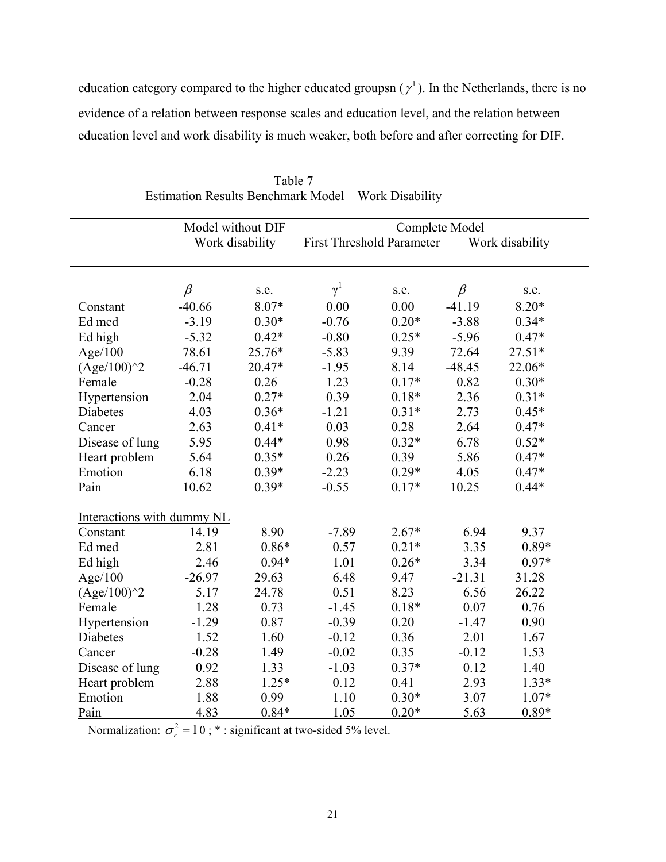education category compared to the higher educated groupsn ( $\gamma^1$ ). In the Netherlands, there is no evidence of a relation between response scales and education level, and the relation between education level and work disability is much weaker, both before and after correcting for DIF.

|                            |                 | Model without DIF |                                  | Complete Model |                 |          |  |
|----------------------------|-----------------|-------------------|----------------------------------|----------------|-----------------|----------|--|
|                            | Work disability |                   | <b>First Threshold Parameter</b> |                | Work disability |          |  |
|                            |                 |                   |                                  |                |                 |          |  |
|                            | $\beta$         | s.e.              | $\gamma^1$                       | s.e.           | $\beta$         | s.e.     |  |
| Constant                   | $-40.66$        | 8.07*             | 0.00                             | 0.00           | $-41.19$        | $8.20*$  |  |
| Ed med                     | $-3.19$         | $0.30*$           | $-0.76$                          | $0.20*$        | $-3.88$         | $0.34*$  |  |
| Ed high                    | $-5.32$         | $0.42*$           | $-0.80$                          | $0.25*$        | $-5.96$         | $0.47*$  |  |
| Age/100                    | 78.61           | 25.76*            | $-5.83$                          | 9.39           | 72.64           | $27.51*$ |  |
| $(Age/100)^2$              | $-46.71$        | 20.47*            | $-1.95$                          | 8.14           | $-48.45$        | 22.06*   |  |
| Female                     | $-0.28$         | 0.26              | 1.23                             | $0.17*$        | 0.82            | $0.30*$  |  |
| Hypertension               | 2.04            | $0.27*$           | 0.39                             | $0.18*$        | 2.36            | $0.31*$  |  |
| Diabetes                   | 4.03            | $0.36*$           | $-1.21$                          | $0.31*$        | 2.73            | $0.45*$  |  |
| Cancer                     | 2.63            | $0.41*$           | 0.03                             | 0.28           | 2.64            | $0.47*$  |  |
| Disease of lung            | 5.95            | $0.44*$           | 0.98                             | $0.32*$        | 6.78            | $0.52*$  |  |
| Heart problem              | 5.64            | $0.35*$           | 0.26                             | 0.39           | 5.86            | $0.47*$  |  |
| Emotion                    | 6.18            | $0.39*$           | $-2.23$                          | $0.29*$        | 4.05            | $0.47*$  |  |
| Pain                       | 10.62           | $0.39*$           | $-0.55$                          | $0.17*$        | 10.25           | $0.44*$  |  |
| Interactions with dummy NL |                 |                   |                                  |                |                 |          |  |
| Constant                   | 14.19           | 8.90              | $-7.89$                          | $2.67*$        | 6.94            | 9.37     |  |
| Ed med                     | 2.81            | $0.86*$           | 0.57                             | $0.21*$        | 3.35            | $0.89*$  |  |
| Ed high                    | 2.46            | $0.94*$           | 1.01                             | $0.26*$        | 3.34            | $0.97*$  |  |
| Age/100                    | $-26.97$        | 29.63             | 6.48                             | 9.47           | $-21.31$        | 31.28    |  |
| $(Age/100)^2$              | 5.17            | 24.78             | 0.51                             | 8.23           | 6.56            | 26.22    |  |
| Female                     | 1.28            | 0.73              | $-1.45$                          | $0.18*$        | 0.07            | 0.76     |  |
| Hypertension               | $-1.29$         | 0.87              | $-0.39$                          | 0.20           | $-1.47$         | 0.90     |  |
| Diabetes                   | 1.52            | 1.60              | $-0.12$                          | 0.36           | 2.01            | 1.67     |  |
| Cancer                     | $-0.28$         | 1.49              | $-0.02$                          | 0.35           | $-0.12$         | 1.53     |  |
| Disease of lung            | 0.92            | 1.33              | $-1.03$                          | $0.37*$        | 0.12            | 1.40     |  |
| Heart problem              | 2.88            | $1.25*$           | 0.12                             | 0.41           | 2.93            | $1.33*$  |  |
| Emotion                    | 1.88            | 0.99              | 1.10                             | $0.30*$        | 3.07            | $1.07*$  |  |
| Pain                       | 4.83            | $0.84*$           | 1.05                             | $0.20*$        | 5.63            | $0.89*$  |  |

Table 7 Estimation Results Benchmark Model—Work Disability

Normalization:  $\sigma_r^2 = 10$ ; \* : significant at two-sided 5% level.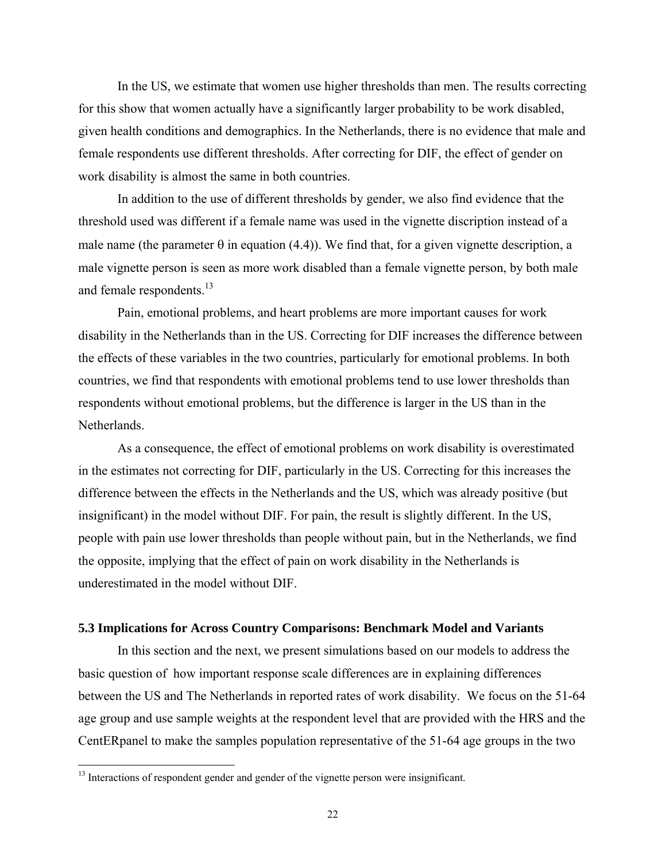In the US, we estimate that women use higher thresholds than men. The results correcting for this show that women actually have a significantly larger probability to be work disabled, given health conditions and demographics. In the Netherlands, there is no evidence that male and female respondents use different thresholds. After correcting for DIF, the effect of gender on work disability is almost the same in both countries.

In addition to the use of different thresholds by gender, we also find evidence that the threshold used was different if a female name was used in the vignette discription instead of a male name (the parameter  $\theta$  in equation (4.4)). We find that, for a given vignette description, a male vignette person is seen as more work disabled than a female vignette person, by both male and female respondents.<sup>13</sup>

Pain, emotional problems, and heart problems are more important causes for work disability in the Netherlands than in the US. Correcting for DIF increases the difference between the effects of these variables in the two countries, particularly for emotional problems. In both countries, we find that respondents with emotional problems tend to use lower thresholds than respondents without emotional problems, but the difference is larger in the US than in the Netherlands.

As a consequence, the effect of emotional problems on work disability is overestimated in the estimates not correcting for DIF, particularly in the US. Correcting for this increases the difference between the effects in the Netherlands and the US, which was already positive (but insignificant) in the model without DIF. For pain, the result is slightly different. In the US, people with pain use lower thresholds than people without pain, but in the Netherlands, we find the opposite, implying that the effect of pain on work disability in the Netherlands is underestimated in the model without DIF.

## **5.3 Implications for Across Country Comparisons: Benchmark Model and Variants**

In this section and the next, we present simulations based on our models to address the basic question of how important response scale differences are in explaining differences between the US and The Netherlands in reported rates of work disability. We focus on the 51-64 age group and use sample weights at the respondent level that are provided with the HRS and the CentERpanel to make the samples population representative of the 51-64 age groups in the two

<u>.</u>

<sup>&</sup>lt;sup>13</sup> Interactions of respondent gender and gender of the vignette person were insignificant.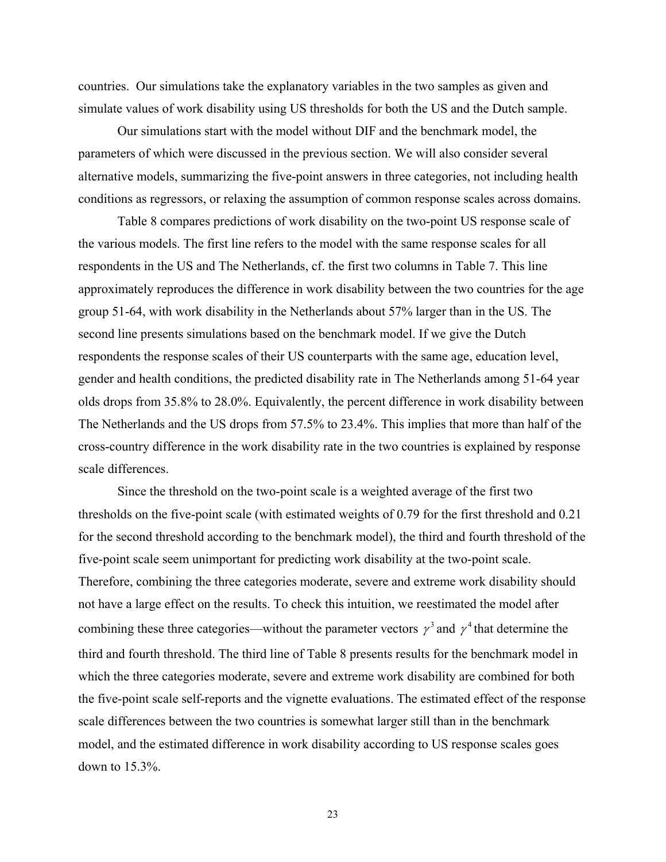countries. Our simulations take the explanatory variables in the two samples as given and simulate values of work disability using US thresholds for both the US and the Dutch sample.

Our simulations start with the model without DIF and the benchmark model, the parameters of which were discussed in the previous section. We will also consider several alternative models, summarizing the five-point answers in three categories, not including health conditions as regressors, or relaxing the assumption of common response scales across domains.

Table 8 compares predictions of work disability on the two-point US response scale of the various models. The first line refers to the model with the same response scales for all respondents in the US and The Netherlands, cf. the first two columns in Table 7. This line approximately reproduces the difference in work disability between the two countries for the age group 51-64, with work disability in the Netherlands about 57% larger than in the US. The second line presents simulations based on the benchmark model. If we give the Dutch respondents the response scales of their US counterparts with the same age, education level, gender and health conditions, the predicted disability rate in The Netherlands among 51-64 year olds drops from 35.8% to 28.0%. Equivalently, the percent difference in work disability between The Netherlands and the US drops from 57.5% to 23.4%. This implies that more than half of the cross-country difference in the work disability rate in the two countries is explained by response scale differences.

Since the threshold on the two-point scale is a weighted average of the first two thresholds on the five-point scale (with estimated weights of 0.79 for the first threshold and 0.21 for the second threshold according to the benchmark model), the third and fourth threshold of the five-point scale seem unimportant for predicting work disability at the two-point scale. Therefore, combining the three categories moderate, severe and extreme work disability should not have a large effect on the results. To check this intuition, we reestimated the model after combining these three categories—without the parameter vectors  $\gamma^3$  and  $\gamma^4$  that determine the third and fourth threshold. The third line of Table 8 presents results for the benchmark model in which the three categories moderate, severe and extreme work disability are combined for both the five-point scale self-reports and the vignette evaluations. The estimated effect of the response scale differences between the two countries is somewhat larger still than in the benchmark model, and the estimated difference in work disability according to US response scales goes down to 15.3%.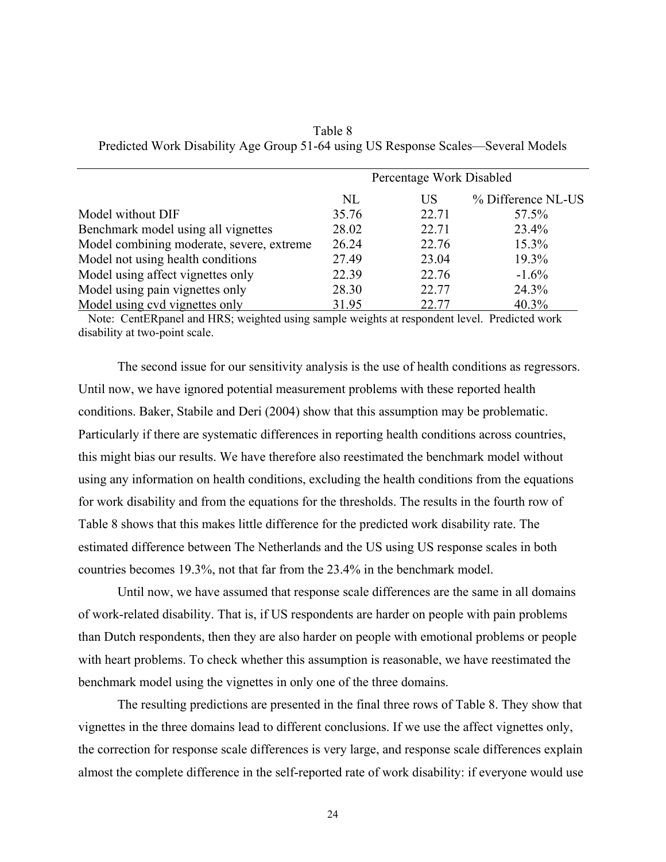|                                           | Percentage Work Disabled |           |                    |  |  |
|-------------------------------------------|--------------------------|-----------|--------------------|--|--|
|                                           | NL                       | <b>US</b> | % Difference NL-US |  |  |
| Model without DIF                         | 35.76                    | 22.71     | 57.5%              |  |  |
| Benchmark model using all vignettes       | 28.02                    | 22.71     | 23.4%              |  |  |
| Model combining moderate, severe, extreme | 26.24                    | 22.76     | 15.3%              |  |  |
| Model not using health conditions         | 27.49                    | 23.04     | 19.3%              |  |  |
| Model using affect vignettes only         | 22.39                    | 22.76     | $-1.6\%$           |  |  |
| Model using pain vignettes only           | 28.30                    | 22.77     | 24.3%              |  |  |
| Model using cvd vignettes only            | 31.95                    | 22.77     | 40.3%              |  |  |

Table 8 Predicted Work Disability Age Group 51-64 using US Response Scales—Several Models

 Note: CentERpanel and HRS; weighted using sample weights at respondent level. Predicted work disability at two-point scale.

The second issue for our sensitivity analysis is the use of health conditions as regressors. Until now, we have ignored potential measurement problems with these reported health conditions. Baker, Stabile and Deri (2004) show that this assumption may be problematic. Particularly if there are systematic differences in reporting health conditions across countries, this might bias our results. We have therefore also reestimated the benchmark model without using any information on health conditions, excluding the health conditions from the equations for work disability and from the equations for the thresholds. The results in the fourth row of Table 8 shows that this makes little difference for the predicted work disability rate. The estimated difference between The Netherlands and the US using US response scales in both countries becomes 19.3%, not that far from the 23.4% in the benchmark model.

Until now, we have assumed that response scale differences are the same in all domains of work-related disability. That is, if US respondents are harder on people with pain problems than Dutch respondents, then they are also harder on people with emotional problems or people with heart problems. To check whether this assumption is reasonable, we have reestimated the benchmark model using the vignettes in only one of the three domains.

The resulting predictions are presented in the final three rows of Table 8. They show that vignettes in the three domains lead to different conclusions. If we use the affect vignettes only, the correction for response scale differences is very large, and response scale differences explain almost the complete difference in the self-reported rate of work disability: if everyone would use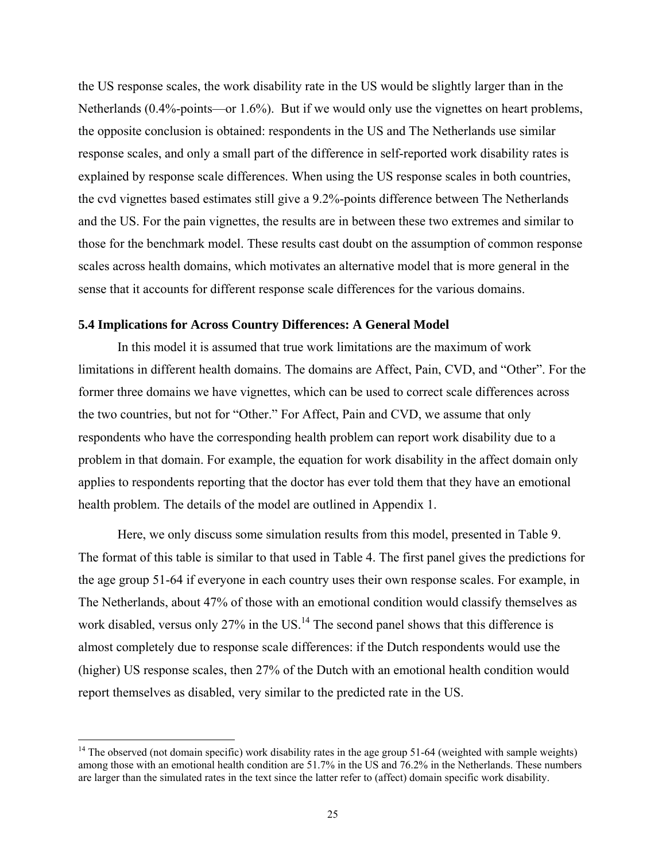the US response scales, the work disability rate in the US would be slightly larger than in the Netherlands (0.4%-points—or 1.6%). But if we would only use the vignettes on heart problems, the opposite conclusion is obtained: respondents in the US and The Netherlands use similar response scales, and only a small part of the difference in self-reported work disability rates is explained by response scale differences. When using the US response scales in both countries, the cvd vignettes based estimates still give a 9.2%-points difference between The Netherlands and the US. For the pain vignettes, the results are in between these two extremes and similar to those for the benchmark model. These results cast doubt on the assumption of common response scales across health domains, which motivates an alternative model that is more general in the sense that it accounts for different response scale differences for the various domains.

## **5.4 Implications for Across Country Differences: A General Model**

In this model it is assumed that true work limitations are the maximum of work limitations in different health domains. The domains are Affect, Pain, CVD, and "Other". For the former three domains we have vignettes, which can be used to correct scale differences across the two countries, but not for "Other." For Affect, Pain and CVD, we assume that only respondents who have the corresponding health problem can report work disability due to a problem in that domain. For example, the equation for work disability in the affect domain only applies to respondents reporting that the doctor has ever told them that they have an emotional health problem. The details of the model are outlined in Appendix 1.

Here, we only discuss some simulation results from this model, presented in Table 9. The format of this table is similar to that used in Table 4. The first panel gives the predictions for the age group 51-64 if everyone in each country uses their own response scales. For example, in The Netherlands, about 47% of those with an emotional condition would classify themselves as work disabled, versus only  $27\%$  in the US.<sup>14</sup> The second panel shows that this difference is almost completely due to response scale differences: if the Dutch respondents would use the (higher) US response scales, then 27% of the Dutch with an emotional health condition would report themselves as disabled, very similar to the predicted rate in the US.

<sup>&</sup>lt;sup>14</sup> The observed (not domain specific) work disability rates in the age group 51-64 (weighted with sample weights) among those with an emotional health condition are 51.7% in the US and 76.2% in the Netherlands. These numbers are larger than the simulated rates in the text since the latter refer to (affect) domain specific work disability.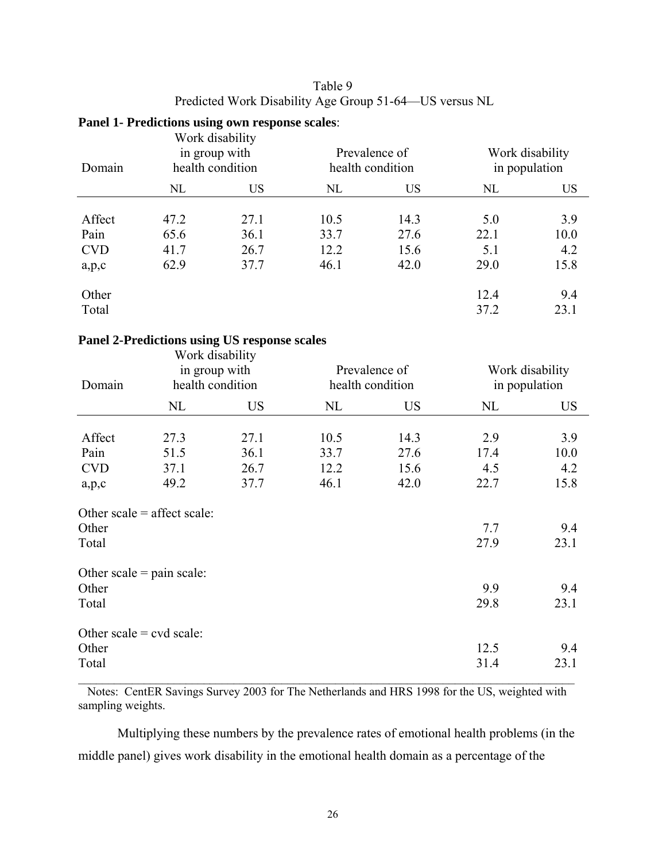| Table 9                                                |
|--------------------------------------------------------|
| Predicted Work Disability Age Group 51-64—US versus NL |

# **Panel 1- Predictions using own response scales**:

| Domain     |      | Work disability<br>in group with<br>health condition |      | Prevalence of<br>health condition |      | Work disability<br>in population |  |  |
|------------|------|------------------------------------------------------|------|-----------------------------------|------|----------------------------------|--|--|
|            | NL   | <b>US</b>                                            | NL   | <b>US</b>                         | NL   | <b>US</b>                        |  |  |
| Affect     | 47.2 | 27.1                                                 | 10.5 | 14.3                              | 5.0  | 3.9                              |  |  |
| Pain       | 65.6 | 36.1                                                 | 33.7 | 27.6                              | 22.1 | 10.0                             |  |  |
| <b>CVD</b> | 41.7 | 26.7                                                 | 12.2 | 15.6                              | 5.1  | 4.2                              |  |  |
| a, p, c    | 62.9 | 37.7                                                 | 46.1 | 42.0                              | 29.0 | 15.8                             |  |  |
| Other      |      |                                                      |      |                                   | 12.4 | 9.4                              |  |  |
| Total      |      |                                                      |      |                                   | 37.2 | 23.1                             |  |  |

## **Panel 2-Predictions using US response scales**

| Domain                                               | Work disability<br>in group with<br>health condition |                              |                              | Prevalence of<br>health condition | Work disability<br>in population |                            |
|------------------------------------------------------|------------------------------------------------------|------------------------------|------------------------------|-----------------------------------|----------------------------------|----------------------------|
|                                                      | NL                                                   | US                           | NL                           | <b>US</b>                         | NL                               | <b>US</b>                  |
| Affect<br>Pain<br><b>CVD</b>                         | 27.3<br>51.5<br>37.1<br>49.2                         | 27.1<br>36.1<br>26.7<br>37.7 | 10.5<br>33.7<br>12.2<br>46.1 | 14.3<br>27.6<br>15.6<br>42.0      | 2.9<br>17.4<br>4.5<br>22.7       | 3.9<br>10.0<br>4.2<br>15.8 |
| a, p, c<br>Other<br>Total                            | Other scale $=$ affect scale:                        |                              |                              |                                   | 7.7<br>27.9                      | 9.4<br>23.1                |
| Other<br>Total                                       | Other scale $=$ pain scale:                          |                              |                              |                                   | 9.9<br>29.8                      | 9.4<br>23.1                |
| Other scale = $\text{cvd scale}$ :<br>Other<br>Total |                                                      |                              |                              |                                   | 12.5<br>31.4                     | 9.4<br>23.1                |

 Notes: CentER Savings Survey 2003 for The Netherlands and HRS 1998 for the US, weighted with sampling weights.

Multiplying these numbers by the prevalence rates of emotional health problems (in the middle panel) gives work disability in the emotional health domain as a percentage of the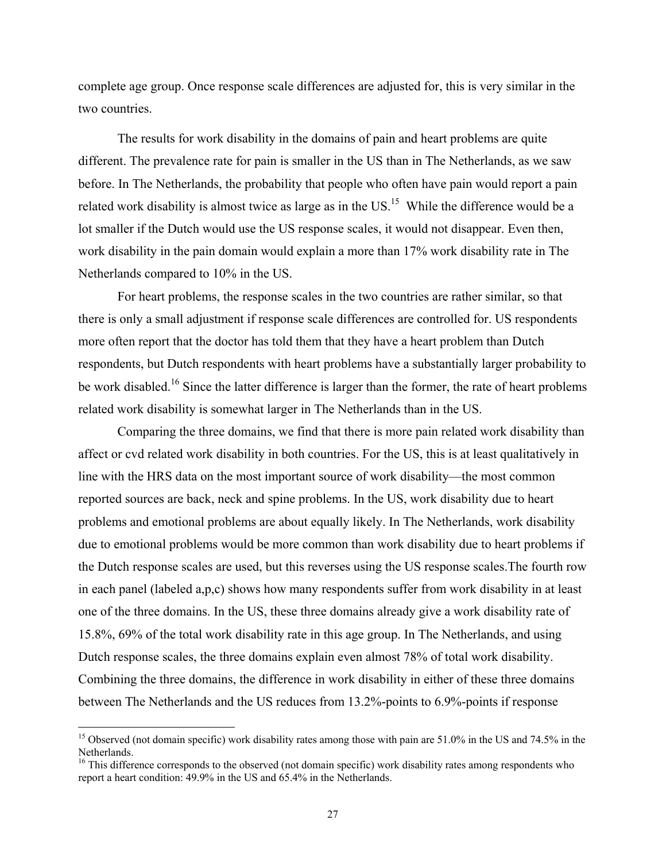complete age group. Once response scale differences are adjusted for, this is very similar in the two countries.

The results for work disability in the domains of pain and heart problems are quite different. The prevalence rate for pain is smaller in the US than in The Netherlands, as we saw before. In The Netherlands, the probability that people who often have pain would report a pain related work disability is almost twice as large as in the  $US<sup>15</sup>$  While the difference would be a lot smaller if the Dutch would use the US response scales, it would not disappear. Even then, work disability in the pain domain would explain a more than 17% work disability rate in The Netherlands compared to 10% in the US.

For heart problems, the response scales in the two countries are rather similar, so that there is only a small adjustment if response scale differences are controlled for. US respondents more often report that the doctor has told them that they have a heart problem than Dutch respondents, but Dutch respondents with heart problems have a substantially larger probability to be work disabled.<sup>16</sup> Since the latter difference is larger than the former, the rate of heart problems related work disability is somewhat larger in The Netherlands than in the US.

Comparing the three domains, we find that there is more pain related work disability than affect or cvd related work disability in both countries. For the US, this is at least qualitatively in line with the HRS data on the most important source of work disability—the most common reported sources are back, neck and spine problems. In the US, work disability due to heart problems and emotional problems are about equally likely. In The Netherlands, work disability due to emotional problems would be more common than work disability due to heart problems if the Dutch response scales are used, but this reverses using the US response scales.The fourth row in each panel (labeled a,p,c) shows how many respondents suffer from work disability in at least one of the three domains. In the US, these three domains already give a work disability rate of 15.8%, 69% of the total work disability rate in this age group. In The Netherlands, and using Dutch response scales, the three domains explain even almost 78% of total work disability. Combining the three domains, the difference in work disability in either of these three domains between The Netherlands and the US reduces from 13.2%-points to 6.9%-points if response

 $\overline{a}$ 

<sup>&</sup>lt;sup>15</sup> Observed (not domain specific) work disability rates among those with pain are  $51.0\%$  in the US and 74.5% in the Netherlands.

<sup>&</sup>lt;sup>16</sup> This difference corresponds to the observed (not domain specific) work disability rates among respondents who report a heart condition: 49.9% in the US and 65.4% in the Netherlands.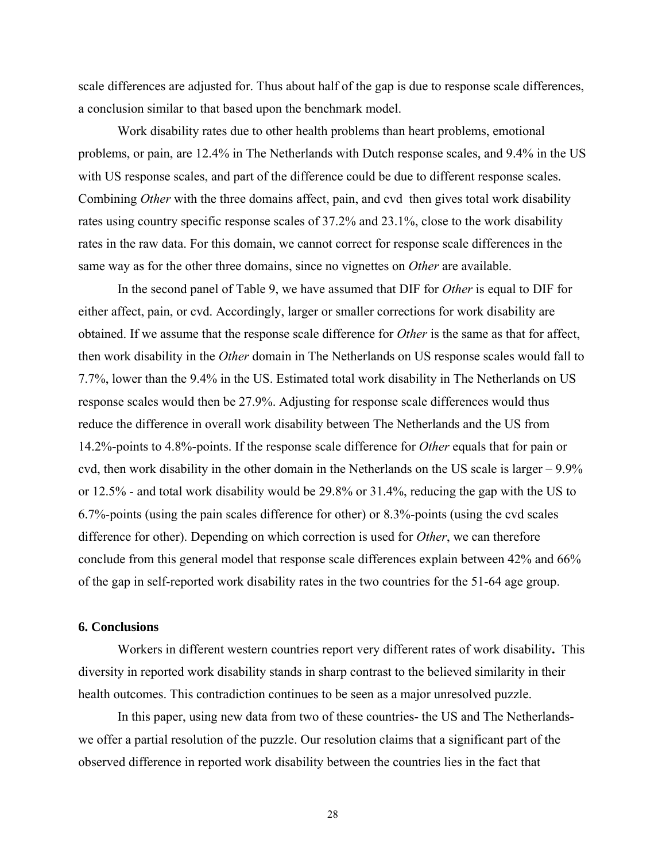scale differences are adjusted for. Thus about half of the gap is due to response scale differences, a conclusion similar to that based upon the benchmark model.

 Work disability rates due to other health problems than heart problems, emotional problems, or pain, are 12.4% in The Netherlands with Dutch response scales, and 9.4% in the US with US response scales, and part of the difference could be due to different response scales. Combining *Other* with the three domains affect, pain, and cvd then gives total work disability rates using country specific response scales of 37.2% and 23.1%, close to the work disability rates in the raw data. For this domain, we cannot correct for response scale differences in the same way as for the other three domains, since no vignettes on *Other* are available.

In the second panel of Table 9, we have assumed that DIF for *Other* is equal to DIF for either affect, pain, or cvd. Accordingly, larger or smaller corrections for work disability are obtained. If we assume that the response scale difference for *Other* is the same as that for affect, then work disability in the *Other* domain in The Netherlands on US response scales would fall to 7.7%, lower than the 9.4% in the US. Estimated total work disability in The Netherlands on US response scales would then be 27.9%. Adjusting for response scale differences would thus reduce the difference in overall work disability between The Netherlands and the US from 14.2%-points to 4.8%-points. If the response scale difference for *Other* equals that for pain or cvd, then work disability in the other domain in the Netherlands on the US scale is larger – 9.9% or 12.5% - and total work disability would be 29.8% or 31.4%, reducing the gap with the US to 6.7%-points (using the pain scales difference for other) or 8.3%-points (using the cvd scales difference for other). Depending on which correction is used for *Other*, we can therefore conclude from this general model that response scale differences explain between 42% and 66% of the gap in self-reported work disability rates in the two countries for the 51-64 age group.

## **6. Conclusions**

Workers in different western countries report very different rates of work disability**.** This diversity in reported work disability stands in sharp contrast to the believed similarity in their health outcomes. This contradiction continues to be seen as a major unresolved puzzle.

In this paper, using new data from two of these countries- the US and The Netherlandswe offer a partial resolution of the puzzle. Our resolution claims that a significant part of the observed difference in reported work disability between the countries lies in the fact that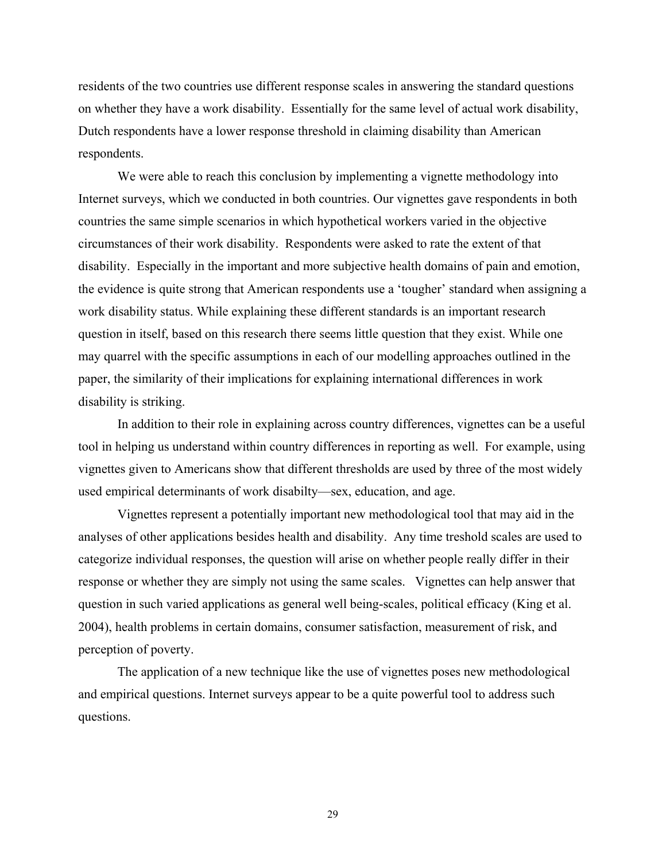residents of the two countries use different response scales in answering the standard questions on whether they have a work disability. Essentially for the same level of actual work disability, Dutch respondents have a lower response threshold in claiming disability than American respondents.

We were able to reach this conclusion by implementing a vignette methodology into Internet surveys, which we conducted in both countries. Our vignettes gave respondents in both countries the same simple scenarios in which hypothetical workers varied in the objective circumstances of their work disability. Respondents were asked to rate the extent of that disability. Especially in the important and more subjective health domains of pain and emotion, the evidence is quite strong that American respondents use a 'tougher' standard when assigning a work disability status. While explaining these different standards is an important research question in itself, based on this research there seems little question that they exist. While one may quarrel with the specific assumptions in each of our modelling approaches outlined in the paper, the similarity of their implications for explaining international differences in work disability is striking.

In addition to their role in explaining across country differences, vignettes can be a useful tool in helping us understand within country differences in reporting as well. For example, using vignettes given to Americans show that different thresholds are used by three of the most widely used empirical determinants of work disabilty—sex, education, and age.

Vignettes represent a potentially important new methodological tool that may aid in the analyses of other applications besides health and disability. Any time treshold scales are used to categorize individual responses, the question will arise on whether people really differ in their response or whether they are simply not using the same scales. Vignettes can help answer that question in such varied applications as general well being-scales, political efficacy (King et al. 2004), health problems in certain domains, consumer satisfaction, measurement of risk, and perception of poverty.

The application of a new technique like the use of vignettes poses new methodological and empirical questions. Internet surveys appear to be a quite powerful tool to address such questions.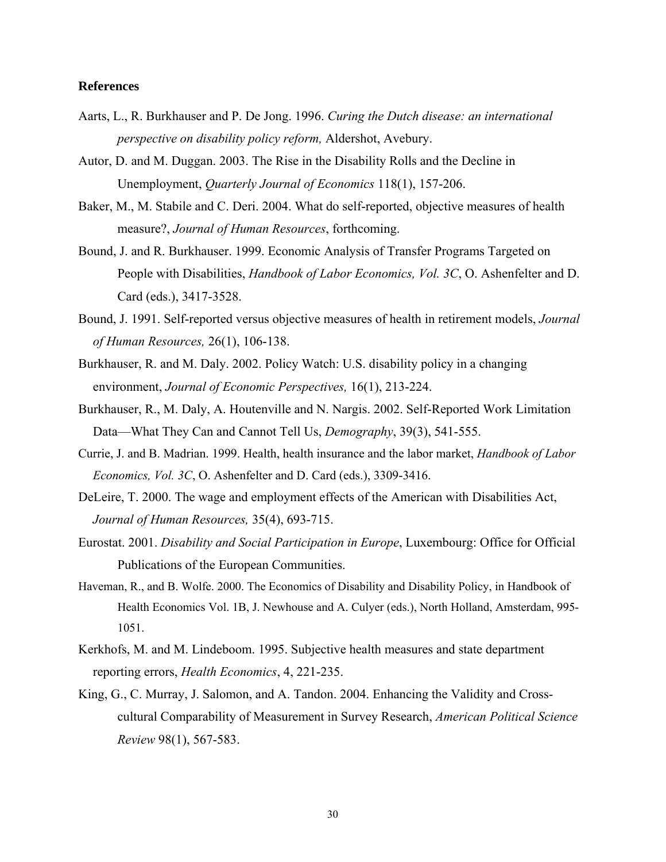## **References**

- Aarts, L., R. Burkhauser and P. De Jong. 1996. *Curing the Dutch disease: an international perspective on disability policy reform,* Aldershot, Avebury.
- Autor, D. and M. Duggan. 2003. The Rise in the Disability Rolls and the Decline in Unemployment, *Quarterly Journal of Economics* 118(1), 157-206.
- Baker, M., M. Stabile and C. Deri. 2004. What do self-reported, objective measures of health measure?, *Journal of Human Resources*, forthcoming.
- Bound, J. and R. Burkhauser. 1999. Economic Analysis of Transfer Programs Targeted on People with Disabilities, *Handbook of Labor Economics, Vol. 3C*, O. Ashenfelter and D. Card (eds.), 3417-3528.
- Bound, J. 1991. Self-reported versus objective measures of health in retirement models, *Journal of Human Resources,* 26(1), 106-138.
- Burkhauser, R. and M. Daly. 2002. Policy Watch: U.S. disability policy in a changing environment, *Journal of Economic Perspectives,* 16(1), 213-224.
- Burkhauser, R., M. Daly, A. Houtenville and N. Nargis. 2002. Self-Reported Work Limitation Data—What They Can and Cannot Tell Us, *Demography*, 39(3), 541-555.
- Currie, J. and B. Madrian. 1999. Health, health insurance and the labor market, *Handbook of Labor Economics, Vol. 3C*, O. Ashenfelter and D. Card (eds.), 3309-3416.
- DeLeire, T. 2000. The wage and employment effects of the American with Disabilities Act, *Journal of Human Resources,* 35(4), 693-715.
- Eurostat. 2001. *Disability and Social Participation in Europe*, Luxembourg: Office for Official Publications of the European Communities.
- Haveman, R., and B. Wolfe. 2000. The Economics of Disability and Disability Policy, in Handbook of Health Economics Vol. 1B, J. Newhouse and A. Culyer (eds.), North Holland, Amsterdam, 995- 1051.
- Kerkhofs, M. and M. Lindeboom. 1995. Subjective health measures and state department reporting errors, *Health Economics*, 4, 221-235.
- King, G., C. Murray, J. Salomon, and A. Tandon. 2004. Enhancing the Validity and Crosscultural Comparability of Measurement in Survey Research, *American Political Science Review* 98(1), 567-583.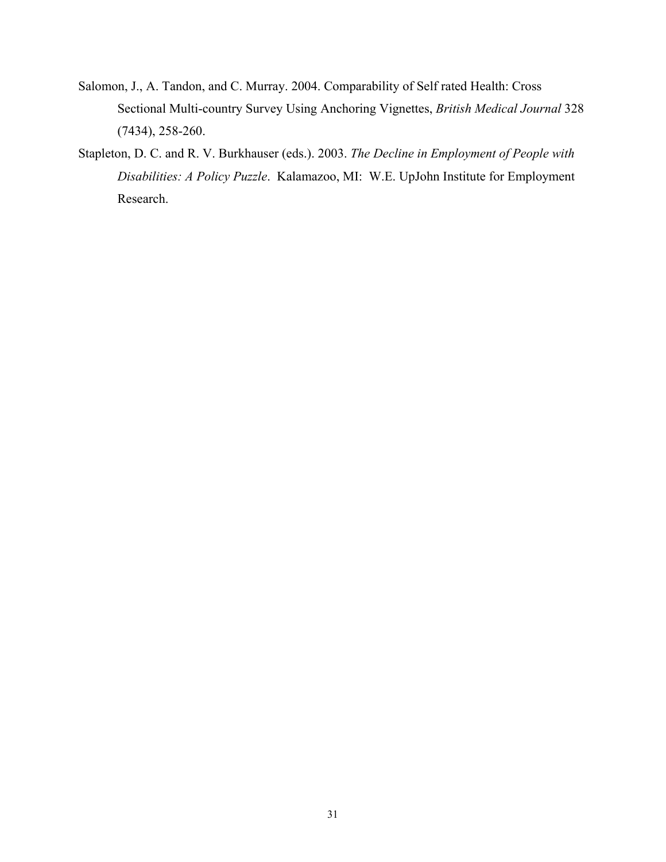- Salomon, J., A. Tandon, and C. Murray. 2004. Comparability of Self rated Health: Cross Sectional Multi-country Survey Using Anchoring Vignettes, *British Medical Journal* 328 (7434), 258-260.
- Stapleton, D. C. and R. V. Burkhauser (eds.). 2003. *The Decline in Employment of People with Disabilities: A Policy Puzzle*. Kalamazoo, MI: W.E. UpJohn Institute for Employment Research.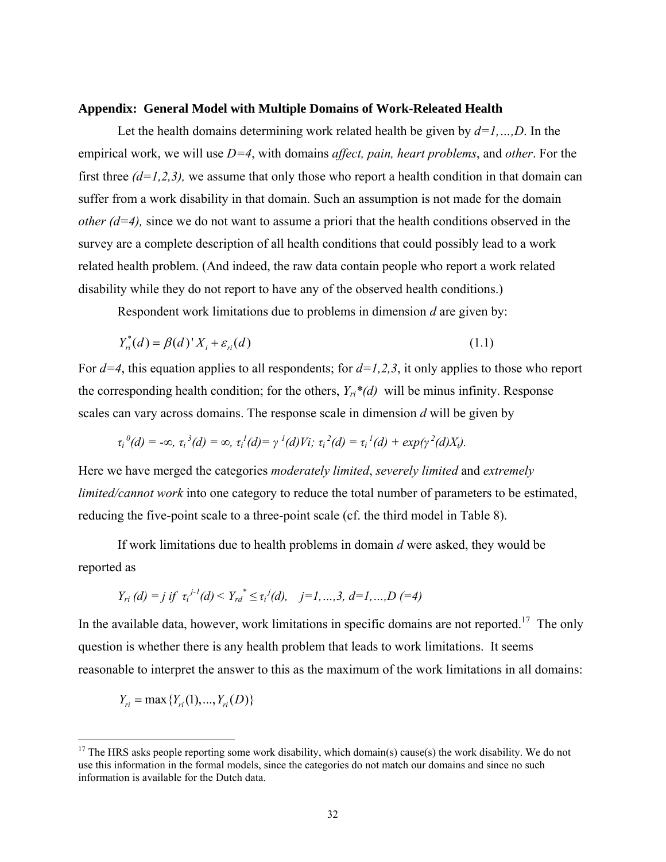#### **Appendix: General Model with Multiple Domains of Work-Releated Health**

Let the health domains determining work related health be given by *d=1,…,D*. In the empirical work, we will use *D=4*, with domains *affect, pain, heart problems*, and *other*. For the first three  $(d=1,2,3)$ , we assume that only those who report a health condition in that domain can suffer from a work disability in that domain. Such an assumption is not made for the domain *other*  $(d=4)$ , since we do not want to assume a priori that the health conditions observed in the survey are a complete description of all health conditions that could possibly lead to a work related health problem. (And indeed, the raw data contain people who report a work related disability while they do not report to have any of the observed health conditions.)

Respondent work limitations due to problems in dimension *d* are given by:

$$
Y_{ni}^*(d) = \beta(d)'X_i + \varepsilon_{ni}(d)
$$
\n(1.1)

For  $d=4$ , this equation applies to all respondents; for  $d=1,2,3$ , it only applies to those who report the corresponding health condition; for the others,  $Y_{ri} * (d)$  will be minus infinity. Response scales can vary across domains. The response scale in dimension *d* will be given by

$$
\tau_i^0(d) = -\infty, \ \tau_i^3(d) = \infty, \ \tau_i^1(d) = \gamma^1(d)V_i; \ \tau_i^2(d) = \tau_i^1(d) + \exp(\gamma^2(d)X_i).
$$

Here we have merged the categories *moderately limited*, *severely limited* and *extremely limited/cannot work* into one category to reduce the total number of parameters to be estimated, reducing the five-point scale to a three-point scale (cf. the third model in Table 8).

If work limitations due to health problems in domain *d* were asked, they would be reported as

$$
Y_{ri}(d) = j \text{ if } \tau_i^{j-l}(d) < Y_{rd}^* \leq \tau_i^j(d), \quad j = 1, ..., 3, d = 1, ..., D \; (=4)
$$

In the available data, however, work limitations in specific domains are not reported.<sup>17</sup> The only question is whether there is any health problem that leads to work limitations. It seems reasonable to interpret the answer to this as the maximum of the work limitations in all domains:

$$
Y_{ri} = \max \{Y_{ri}(1), ..., Y_{ri}(D)\}
$$

 $\overline{a}$ 

<sup>&</sup>lt;sup>17</sup> The HRS asks people reporting some work disability, which domain(s) cause(s) the work disability. We do not use this information in the formal models, since the categories do not match our domains and since no such information is available for the Dutch data.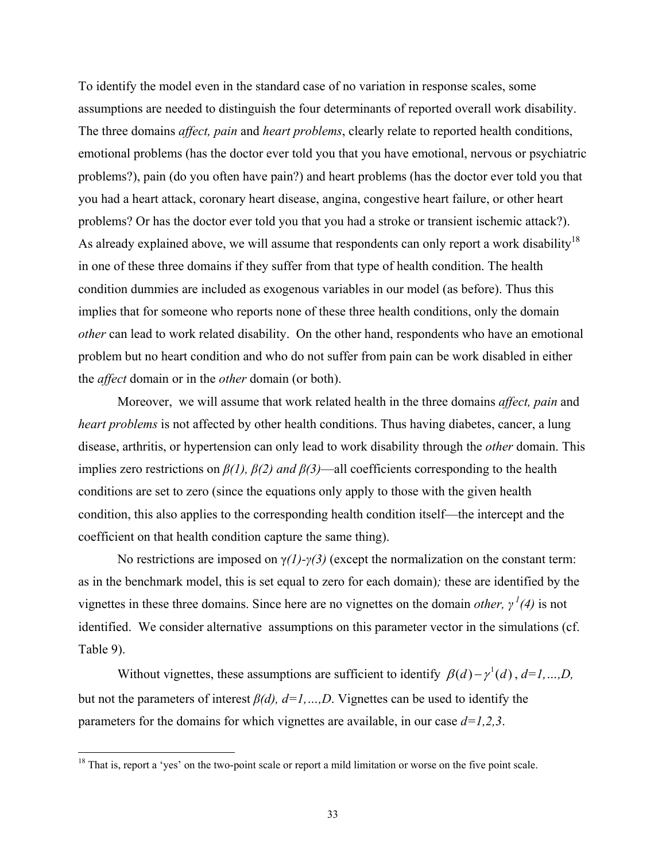To identify the model even in the standard case of no variation in response scales, some assumptions are needed to distinguish the four determinants of reported overall work disability. The three domains *affect, pain* and *heart problems*, clearly relate to reported health conditions, emotional problems (has the doctor ever told you that you have emotional, nervous or psychiatric problems?), pain (do you often have pain?) and heart problems (has the doctor ever told you that you had a heart attack, coronary heart disease, angina, congestive heart failure, or other heart problems? Or has the doctor ever told you that you had a stroke or transient ischemic attack?). As already explained above, we will assume that respondents can only report a work disability<sup>18</sup> in one of these three domains if they suffer from that type of health condition. The health condition dummies are included as exogenous variables in our model (as before). Thus this implies that for someone who reports none of these three health conditions, only the domain *other* can lead to work related disability. On the other hand, respondents who have an emotional problem but no heart condition and who do not suffer from pain can be work disabled in either the *affect* domain or in the *other* domain (or both).

 Moreover, we will assume that work related health in the three domains *affect, pain* and *heart problems* is not affected by other health conditions. Thus having diabetes, cancer, a lung disease, arthritis, or hypertension can only lead to work disability through the *other* domain. This implies zero restrictions on *β(1), β(2) and β(3)*—all coefficients corresponding to the health conditions are set to zero (since the equations only apply to those with the given health condition, this also applies to the corresponding health condition itself—the intercept and the coefficient on that health condition capture the same thing).

No restrictions are imposed on γ*(1)-γ(3)* (except the normalization on the constant term: as in the benchmark model, this is set equal to zero for each domain)*;* these are identified by the vignettes in these three domains. Since here are no vignettes on the domain *other*,  $\gamma^1(4)$  is not identified. We consider alternative assumptions on this parameter vector in the simulations (cf. Table 9).

Without vignettes, these assumptions are sufficient to identify  $\beta(d) - \gamma^d(d)$ ,  $d=1,...,D$ , but not the parameters of interest *β(d), d=1,…,D*. Vignettes can be used to identify the parameters for the domains for which vignettes are available, in our case  $d=1,2,3$ .

<sup>&</sup>lt;sup>18</sup> That is, report a 'yes' on the two-point scale or report a mild limitation or worse on the five point scale.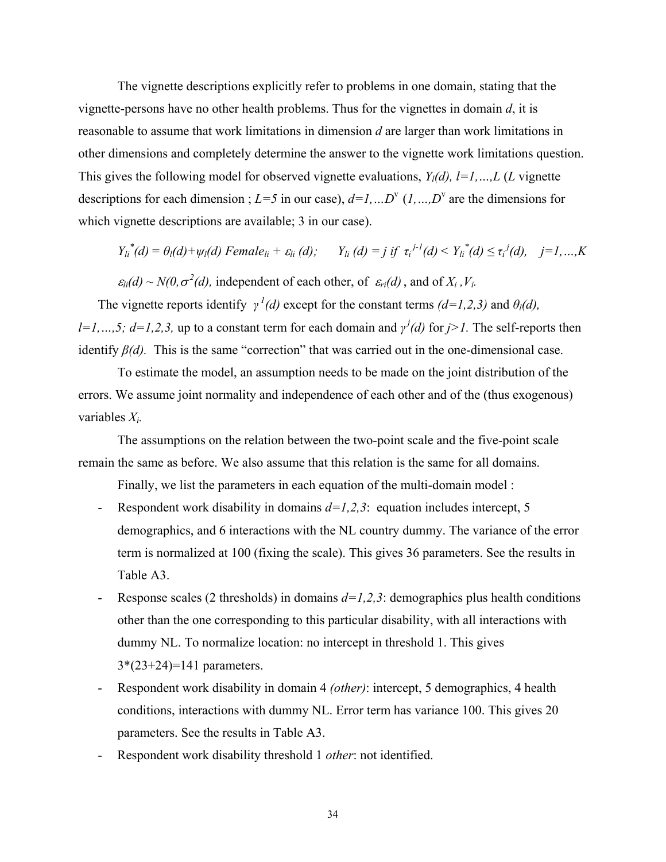The vignette descriptions explicitly refer to problems in one domain, stating that the vignette-persons have no other health problems. Thus for the vignettes in domain *d*, it is reasonable to assume that work limitations in dimension *d* are larger than work limitations in other dimensions and completely determine the answer to the vignette work limitations question. This gives the following model for observed vignette evaluations,  $Y_l(d)$ ,  $l=1,...,L$  (*L* vignette descriptions for each dimension ;  $L=5$  in our case),  $d=1,...D^{\nu}$  (*1, …,D*<sup>v</sup> are the dimensions for which vignette descriptions are available; 3 in our case).

$$
Y_{li}^*(d) = \theta_l(d) + \psi_l(d) \text{ Female}_{li} + \varepsilon_{li}(d); \qquad Y_{li}(d) = j \text{ if } \tau_i^{j-l}(d) < Y_{li}^*(d) \leq \tau_i^j(d), \quad j = 1, \ldots, K
$$

 $\varepsilon_{li}(d) \sim N(0, \sigma^2(d))$ , independent of each other, of  $\varepsilon_{ri}(d)$ , and of  $X_i$ ,  $V_i$ .

The vignette reports identify  $\gamma^{1}(d)$  except for the constant terms *(d=1,2,3)* and  $\theta_{l}(d)$ , *l*=*1, ..., 5; d=1, 2, 3, up to a constant term for each domain and <i>γ<sup>j</sup>*(*d*) for *j*>*1*. The self-reports then identify  $\beta(d)$ . This is the same "correction" that was carried out in the one-dimensional case.

To estimate the model, an assumption needs to be made on the joint distribution of the errors. We assume joint normality and independence of each other and of the (thus exogenous) variables *Xi.*

The assumptions on the relation between the two-point scale and the five-point scale remain the same as before. We also assume that this relation is the same for all domains.

Finally, we list the parameters in each equation of the multi-domain model :

- Respondent work disability in domains  $d=1,2,3$ : equation includes intercept, 5 demographics, and 6 interactions with the NL country dummy. The variance of the error term is normalized at 100 (fixing the scale). This gives 36 parameters. See the results in Table A3.
- Response scales (2 thresholds) in domains  $d=1,2,3$ : demographics plus health conditions other than the one corresponding to this particular disability, with all interactions with dummy NL. To normalize location: no intercept in threshold 1. This gives 3\*(23+24)=141 parameters.
- Respondent work disability in domain 4 *(other)*: intercept, 5 demographics, 4 health conditions, interactions with dummy NL. Error term has variance 100. This gives 20 parameters. See the results in Table A3.
- Respondent work disability threshold 1 *other*: not identified.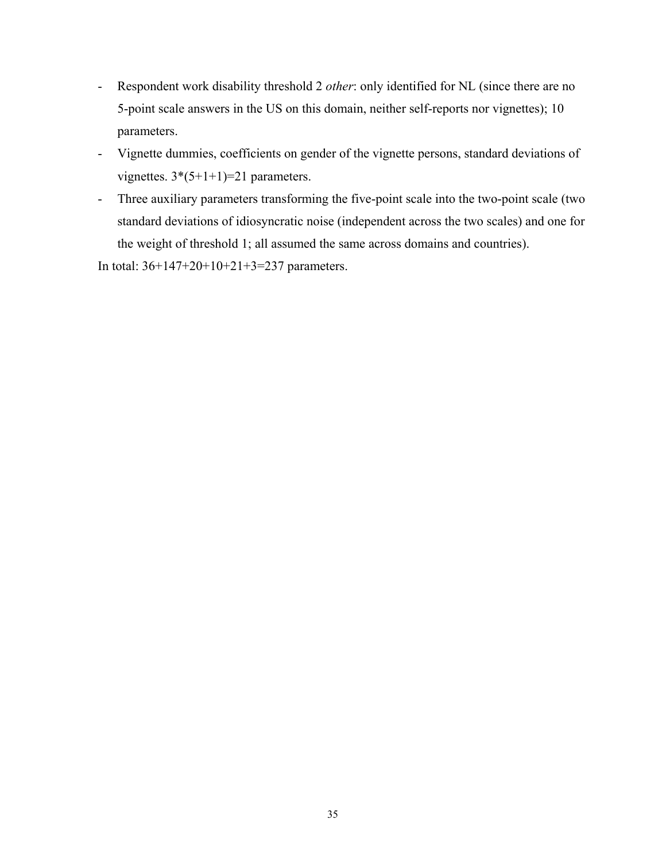- Respondent work disability threshold 2 *other*: only identified for NL (since there are no 5-point scale answers in the US on this domain, neither self-reports nor vignettes); 10 parameters.
- Vignette dummies, coefficients on gender of the vignette persons, standard deviations of vignettes.  $3*(5+1+1)=21$  parameters.
- Three auxiliary parameters transforming the five-point scale into the two-point scale (two standard deviations of idiosyncratic noise (independent across the two scales) and one for the weight of threshold 1; all assumed the same across domains and countries).

In total: 36+147+20+10+21+3=237 parameters.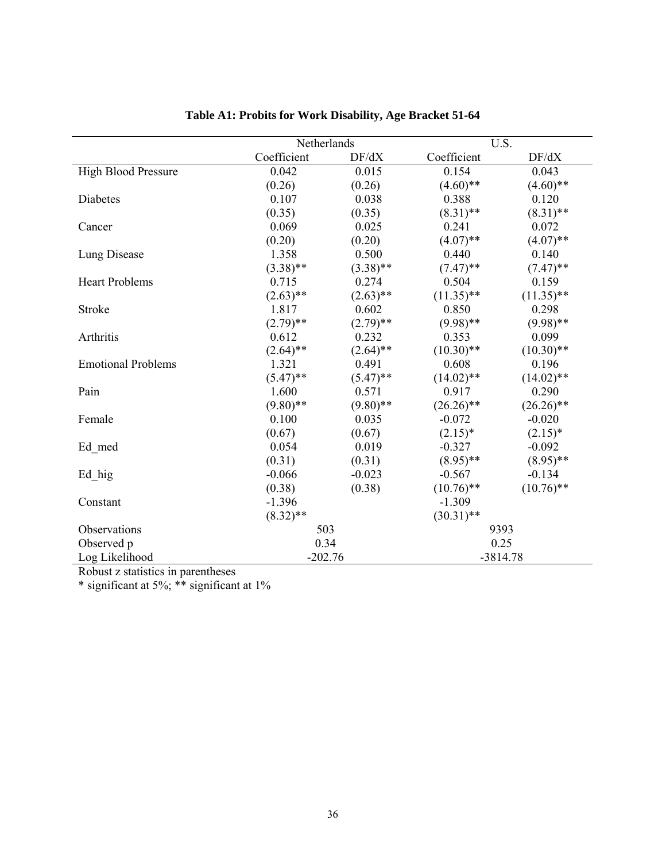|                            | Netherlands |             | U.S.         |              |
|----------------------------|-------------|-------------|--------------|--------------|
|                            | Coefficient | DF/dX       | Coefficient  | DF/dX        |
| <b>High Blood Pressure</b> | 0.042       | 0.015       | 0.154        | 0.043        |
|                            | (0.26)      | (0.26)      | $(4.60)$ **  | $(4.60)$ **  |
| <b>Diabetes</b>            | 0.107       | 0.038       | 0.388        | 0.120        |
|                            | (0.35)      | (0.35)      | $(8.31)$ **  | $(8.31)$ **  |
| Cancer                     | 0.069       | 0.025       | 0.241        | 0.072        |
|                            | (0.20)      | (0.20)      | $(4.07)$ **  | $(4.07)$ **  |
| Lung Disease               | 1.358       | 0.500       | 0.440        | 0.140        |
|                            | $(3.38)$ ** | $(3.38)$ ** | $(7.47)$ **  | $(7.47)$ **  |
| <b>Heart Problems</b>      | 0.715       | 0.274       | 0.504        | 0.159        |
|                            | $(2.63)$ ** | $(2.63)$ ** | $(11.35)$ ** | $(11.35)$ ** |
| Stroke                     | 1.817       | 0.602       | 0.850        | 0.298        |
|                            | $(2.79)$ ** | $(2.79)$ ** | $(9.98)$ **  | $(9.98)$ **  |
| Arthritis                  | 0.612       | 0.232       | 0.353        | 0.099        |
|                            | $(2.64)$ ** | $(2.64)$ ** | $(10.30)$ ** | $(10.30)$ ** |
| <b>Emotional Problems</b>  | 1.321       | 0.491       | 0.608        | 0.196        |
|                            | $(5.47)$ ** | $(5.47)$ ** | $(14.02)$ ** | $(14.02)$ ** |
| Pain                       | 1.600       | 0.571       | 0.917        | 0.290        |
|                            | $(9.80)$ ** | $(9.80)$ ** | $(26.26)$ ** | $(26.26)$ ** |
| Female                     | 0.100       | 0.035       | $-0.072$     | $-0.020$     |
|                            | (0.67)      | (0.67)      | $(2.15)^*$   | $(2.15)^*$   |
| Ed med                     | 0.054       | 0.019       | $-0.327$     | $-0.092$     |
|                            | (0.31)      | (0.31)      | $(8.95)$ **  | $(8.95)$ **  |
| Ed hig                     | $-0.066$    | $-0.023$    | $-0.567$     | $-0.134$     |
|                            | (0.38)      | (0.38)      | $(10.76)$ ** | $(10.76)$ ** |
| Constant                   | $-1.396$    |             | $-1.309$     |              |
|                            | $(8.32)$ ** |             | $(30.31)$ ** |              |
| Observations               | 503         |             | 9393         |              |
| Observed p                 | 0.34        |             | 0.25         |              |
| Log Likelihood             | $-202.76$   |             | $-3814.78$   |              |

| Table A1: Probits for Work Disability, Age Bracket 51-64 |  |  |  |
|----------------------------------------------------------|--|--|--|
|                                                          |  |  |  |

Robust z statistics in parentheses

\* significant at 5%; \*\* significant at 1%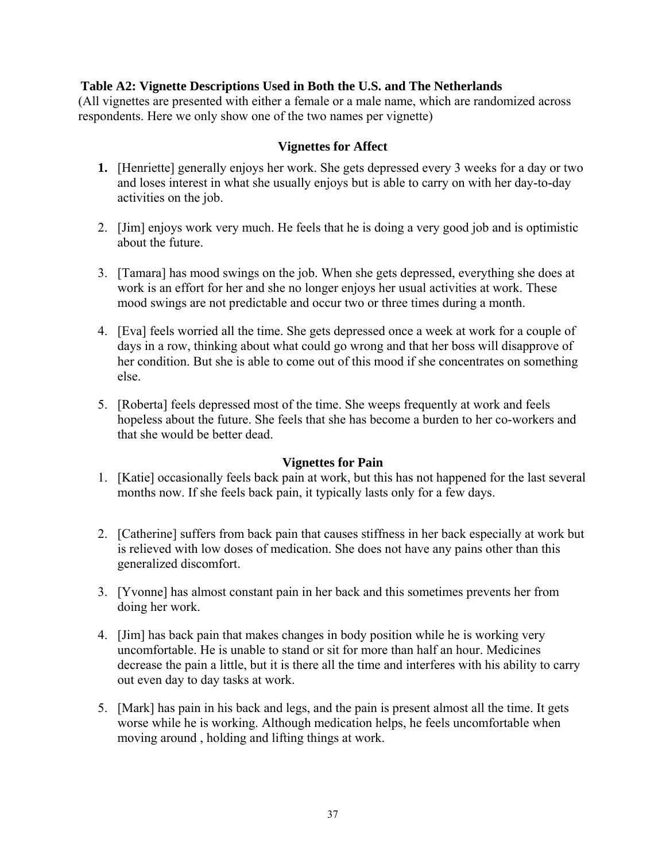# **Table A2: Vignette Descriptions Used in Both the U.S. and The Netherlands**

(All vignettes are presented with either a female or a male name, which are randomized across respondents. Here we only show one of the two names per vignette)

# **Vignettes for Affect**

- **1.** [Henriette] generally enjoys her work. She gets depressed every 3 weeks for a day or two and loses interest in what she usually enjoys but is able to carry on with her day-to-day activities on the job.
- 2. [Jim] enjoys work very much. He feels that he is doing a very good job and is optimistic about the future.
- 3. [Tamara] has mood swings on the job. When she gets depressed, everything she does at work is an effort for her and she no longer enjoys her usual activities at work. These mood swings are not predictable and occur two or three times during a month.
- 4. [Eva] feels worried all the time. She gets depressed once a week at work for a couple of days in a row, thinking about what could go wrong and that her boss will disapprove of her condition. But she is able to come out of this mood if she concentrates on something else.
- 5. [Roberta] feels depressed most of the time. She weeps frequently at work and feels hopeless about the future. She feels that she has become a burden to her co-workers and that she would be better dead.

# **Vignettes for Pain**

- 1. [Katie] occasionally feels back pain at work, but this has not happened for the last several months now. If she feels back pain, it typically lasts only for a few days.
- 2. [Catherine] suffers from back pain that causes stiffness in her back especially at work but is relieved with low doses of medication. She does not have any pains other than this generalized discomfort.
- 3. [Yvonne] has almost constant pain in her back and this sometimes prevents her from doing her work.
- 4. [Jim] has back pain that makes changes in body position while he is working very uncomfortable. He is unable to stand or sit for more than half an hour. Medicines decrease the pain a little, but it is there all the time and interferes with his ability to carry out even day to day tasks at work.
- 5. [Mark] has pain in his back and legs, and the pain is present almost all the time. It gets worse while he is working. Although medication helps, he feels uncomfortable when moving around , holding and lifting things at work.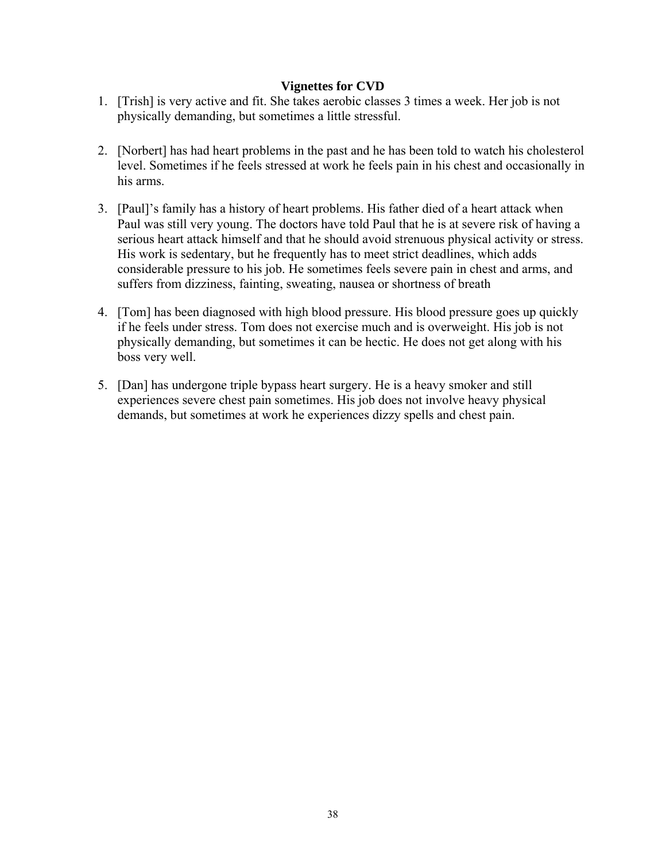# **Vignettes for CVD**

- 1. [Trish] is very active and fit. She takes aerobic classes 3 times a week. Her job is not physically demanding, but sometimes a little stressful.
- 2. [Norbert] has had heart problems in the past and he has been told to watch his cholesterol level. Sometimes if he feels stressed at work he feels pain in his chest and occasionally in his arms.
- 3. [Paul]'s family has a history of heart problems. His father died of a heart attack when Paul was still very young. The doctors have told Paul that he is at severe risk of having a serious heart attack himself and that he should avoid strenuous physical activity or stress. His work is sedentary, but he frequently has to meet strict deadlines, which adds considerable pressure to his job. He sometimes feels severe pain in chest and arms, and suffers from dizziness, fainting, sweating, nausea or shortness of breath
- 4. [Tom] has been diagnosed with high blood pressure. His blood pressure goes up quickly if he feels under stress. Tom does not exercise much and is overweight. His job is not physically demanding, but sometimes it can be hectic. He does not get along with his boss very well.
- 5. [Dan] has undergone triple bypass heart surgery. He is a heavy smoker and still experiences severe chest pain sometimes. His job does not involve heavy physical demands, but sometimes at work he experiences dizzy spells and chest pain.